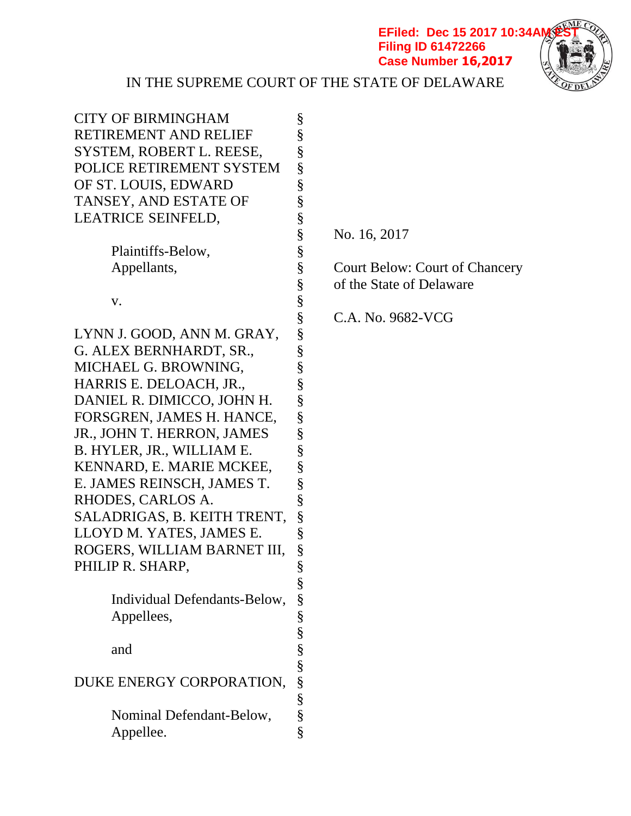**EFiled: Dec 15 2017 10:34AM Filing ID 61472266 Case Number 16,2017**



| <b>CITY OF BIRMINGHAM</b><br>RETIREMENT AND RELIEF<br>SYSTEM, ROBERT L. REESE,<br>POLICE RETIREMENT SYSTEM<br>OF ST. LOUIS, EDWARD<br>TANSEY, AND ESTATE OF<br>LEATRICE SEINFELD,                                                                                                                                                                                                                                          | §<br>§<br>§<br>§<br>§<br>§<br>§<br>§                                    |
|----------------------------------------------------------------------------------------------------------------------------------------------------------------------------------------------------------------------------------------------------------------------------------------------------------------------------------------------------------------------------------------------------------------------------|-------------------------------------------------------------------------|
| Plaintiffs-Below,<br>Appellants,                                                                                                                                                                                                                                                                                                                                                                                           | §<br>§<br>§                                                             |
| V.                                                                                                                                                                                                                                                                                                                                                                                                                         | §<br>§                                                                  |
| LYNN J. GOOD, ANN M. GRAY,<br>G. ALEX BERNHARDT, SR.,<br>MICHAEL G. BROWNING,<br>HARRIS E. DELOACH, JR.,<br>DANIEL R. DIMICCO, JOHN H.<br>FORSGREN, JAMES H. HANCE,<br>JR., JOHN T. HERRON, JAMES<br>B. HYLER, JR., WILLIAM E.<br>KENNARD, E. MARIE MCKEE,<br>E. JAMES REINSCH, JAMES T.<br>RHODES, CARLOS A.<br>SALADRIGAS, B. KEITH TRENT,<br>LLOYD M. YATES, JAMES E.<br>ROGERS, WILLIAM BARNET III,<br>PHILIP R. SHARP | §<br>§<br>§<br>§<br>§<br>§<br>§<br>§<br>§<br>§<br>§<br>§<br>§<br>§<br>§ |
| Individual Defendants-Below,<br>Appellees,                                                                                                                                                                                                                                                                                                                                                                                 | §<br>§                                                                  |
| and                                                                                                                                                                                                                                                                                                                                                                                                                        |                                                                         |
| DUKE ENERGY CORPORATION,                                                                                                                                                                                                                                                                                                                                                                                                   | es es es es es es es es                                                 |
| Nominal Defendant-Below,<br>Appellee.                                                                                                                                                                                                                                                                                                                                                                                      | $\S$                                                                    |

§ No. 16, 2017

Court Below: Court of Chancery § of the State of Delaware

§ C.A. No. 9682-VCG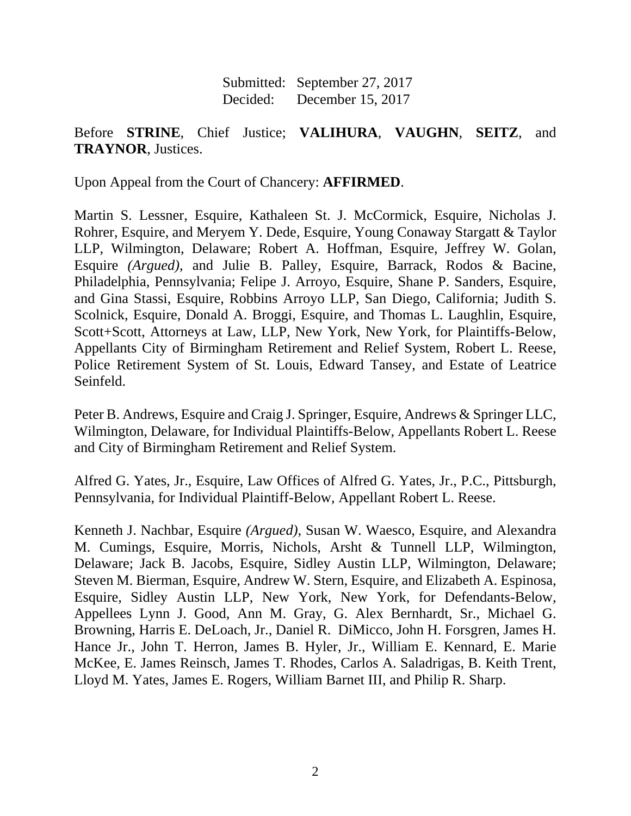Submitted: September 27, 2017 Decided: December 15, 2017

# Before **STRINE**, Chief Justice; **VALIHURA**, **VAUGHN**, **SEITZ**, and **TRAYNOR**, Justices.

Upon Appeal from the Court of Chancery: **AFFIRMED**.

Martin S. Lessner, Esquire, Kathaleen St. J. McCormick, Esquire, Nicholas J. Rohrer, Esquire, and Meryem Y. Dede, Esquire, Young Conaway Stargatt & Taylor LLP, Wilmington, Delaware; Robert A. Hoffman, Esquire, Jeffrey W. Golan, Esquire *(Argued)*, and Julie B. Palley, Esquire, Barrack, Rodos & Bacine, Philadelphia, Pennsylvania; Felipe J. Arroyo, Esquire, Shane P. Sanders, Esquire, and Gina Stassi, Esquire, Robbins Arroyo LLP, San Diego, California; Judith S. Scolnick, Esquire, Donald A. Broggi, Esquire, and Thomas L. Laughlin, Esquire, Scott+Scott, Attorneys at Law, LLP, New York, New York, for Plaintiffs-Below, Appellants City of Birmingham Retirement and Relief System, Robert L. Reese, Police Retirement System of St. Louis, Edward Tansey, and Estate of Leatrice Seinfeld.

Peter B. Andrews, Esquire and Craig J. Springer, Esquire, Andrews & Springer LLC, Wilmington, Delaware, for Individual Plaintiffs-Below, Appellants Robert L. Reese and City of Birmingham Retirement and Relief System.

Alfred G. Yates, Jr., Esquire, Law Offices of Alfred G. Yates, Jr., P.C., Pittsburgh, Pennsylvania, for Individual Plaintiff-Below, Appellant Robert L. Reese.

Kenneth J. Nachbar, Esquire *(Argued)*, Susan W. Waesco, Esquire, and Alexandra M. Cumings, Esquire, Morris, Nichols, Arsht & Tunnell LLP, Wilmington, Delaware; Jack B. Jacobs, Esquire, Sidley Austin LLP, Wilmington, Delaware; Steven M. Bierman, Esquire, Andrew W. Stern, Esquire, and Elizabeth A. Espinosa, Esquire, Sidley Austin LLP, New York, New York, for Defendants-Below, Appellees Lynn J. Good, Ann M. Gray, G. Alex Bernhardt, Sr., Michael G. Browning, Harris E. DeLoach, Jr., Daniel R. DiMicco, John H. Forsgren, James H. Hance Jr., John T. Herron, James B. Hyler, Jr., William E. Kennard, E. Marie McKee, E. James Reinsch, James T. Rhodes, Carlos A. Saladrigas, B. Keith Trent, Lloyd M. Yates, James E. Rogers, William Barnet III, and Philip R. Sharp.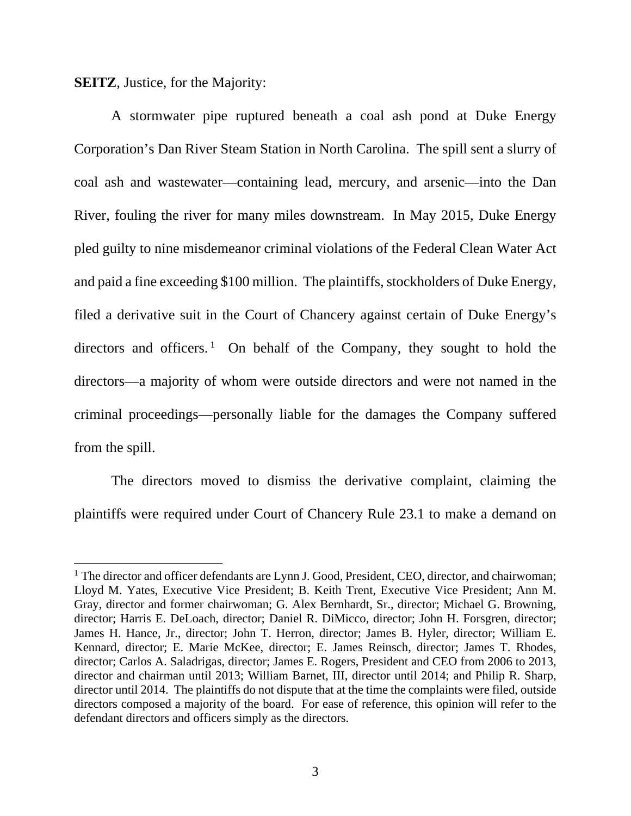**SEITZ**, Justice, for the Majority:

 $\overline{a}$ 

 A stormwater pipe ruptured beneath a coal ash pond at Duke Energy Corporation's Dan River Steam Station in North Carolina. The spill sent a slurry of coal ash and wastewater—containing lead, mercury, and arsenic—into the Dan River, fouling the river for many miles downstream. In May 2015, Duke Energy pled guilty to nine misdemeanor criminal violations of the Federal Clean Water Act and paid a fine exceeding \$100 million. The plaintiffs, stockholders of Duke Energy, filed a derivative suit in the Court of Chancery against certain of Duke Energy's directors and officers.<sup>1</sup> On behalf of the Company, they sought to hold the directors—a majority of whom were outside directors and were not named in the criminal proceedings—personally liable for the damages the Company suffered from the spill.

 The directors moved to dismiss the derivative complaint, claiming the plaintiffs were required under Court of Chancery Rule 23.1 to make a demand on

<sup>&</sup>lt;sup>1</sup> The director and officer defendants are Lynn J. Good, President, CEO, director, and chairwoman; Lloyd M. Yates, Executive Vice President; B. Keith Trent, Executive Vice President; Ann M. Gray, director and former chairwoman; G. Alex Bernhardt, Sr., director; Michael G. Browning, director; Harris E. DeLoach, director; Daniel R. DiMicco, director; John H. Forsgren, director; James H. Hance, Jr., director; John T. Herron, director; James B. Hyler, director; William E. Kennard, director; E. Marie McKee, director; E. James Reinsch, director; James T. Rhodes, director; Carlos A. Saladrigas, director; James E. Rogers, President and CEO from 2006 to 2013, director and chairman until 2013; William Barnet, III, director until 2014; and Philip R. Sharp, director until 2014. The plaintiffs do not dispute that at the time the complaints were filed, outside directors composed a majority of the board. For ease of reference, this opinion will refer to the defendant directors and officers simply as the directors.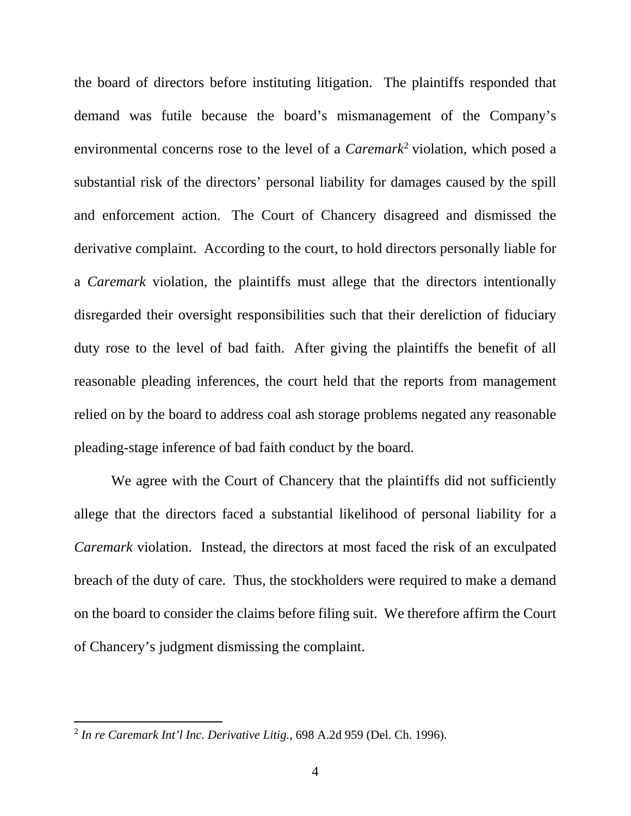the board of directors before instituting litigation. The plaintiffs responded that demand was futile because the board's mismanagement of the Company's environmental concerns rose to the level of a *Caremark*<sup>2</sup> violation, which posed a substantial risk of the directors' personal liability for damages caused by the spill and enforcement action. The Court of Chancery disagreed and dismissed the derivative complaint. According to the court, to hold directors personally liable for a *Caremark* violation, the plaintiffs must allege that the directors intentionally disregarded their oversight responsibilities such that their dereliction of fiduciary duty rose to the level of bad faith. After giving the plaintiffs the benefit of all reasonable pleading inferences, the court held that the reports from management relied on by the board to address coal ash storage problems negated any reasonable pleading-stage inference of bad faith conduct by the board.

We agree with the Court of Chancery that the plaintiffs did not sufficiently allege that the directors faced a substantial likelihood of personal liability for a *Caremark* violation. Instead, the directors at most faced the risk of an exculpated breach of the duty of care. Thus, the stockholders were required to make a demand on the board to consider the claims before filing suit. We therefore affirm the Court of Chancery's judgment dismissing the complaint.

<sup>2</sup> *In re Caremark Int'l Inc. Derivative Litig.*, 698 A.2d 959 (Del. Ch. 1996).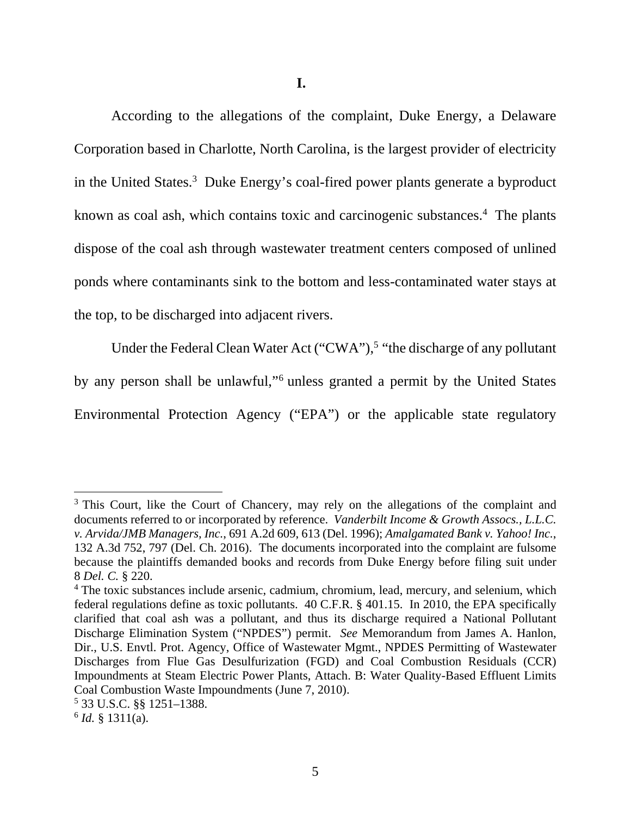According to the allegations of the complaint, Duke Energy, a Delaware Corporation based in Charlotte, North Carolina, is the largest provider of electricity in the United States.<sup>3</sup> Duke Energy's coal-fired power plants generate a byproduct known as coal ash, which contains toxic and carcinogenic substances.<sup>4</sup> The plants dispose of the coal ash through wastewater treatment centers composed of unlined ponds where contaminants sink to the bottom and less-contaminated water stays at the top, to be discharged into adjacent rivers.

Under the Federal Clean Water Act  $("CWA")$ ,<sup>5</sup> "the discharge of any pollutant by any person shall be unlawful,"<sup>6</sup> unless granted a permit by the United States Environmental Protection Agency ("EPA") or the applicable state regulatory

<sup>&</sup>lt;sup>3</sup> This Court, like the Court of Chancery, may rely on the allegations of the complaint and documents referred to or incorporated by reference. *Vanderbilt Income & Growth Assocs., L.L.C. v. Arvida/JMB Managers, Inc.*, 691 A.2d 609, 613 (Del. 1996); *Amalgamated Bank v. Yahoo! Inc.*, 132 A.3d 752, 797 (Del. Ch. 2016). The documents incorporated into the complaint are fulsome because the plaintiffs demanded books and records from Duke Energy before filing suit under 8 *Del. C.* § 220.

<sup>&</sup>lt;sup>4</sup> The toxic substances include arsenic, cadmium, chromium, lead, mercury, and selenium, which federal regulations define as toxic pollutants. 40 C.F.R. § 401.15. In 2010, the EPA specifically clarified that coal ash was a pollutant, and thus its discharge required a National Pollutant Discharge Elimination System ("NPDES") permit. *See* Memorandum from James A. Hanlon, Dir., U.S. Envtl. Prot. Agency, Office of Wastewater Mgmt., NPDES Permitting of Wastewater Discharges from Flue Gas Desulfurization (FGD) and Coal Combustion Residuals (CCR) Impoundments at Steam Electric Power Plants, Attach. B: Water Quality-Based Effluent Limits Coal Combustion Waste Impoundments (June 7, 2010).

<sup>5</sup> 33 U.S.C. §§ 1251–1388.

 $^{6}$  *Id.* § 1311(a).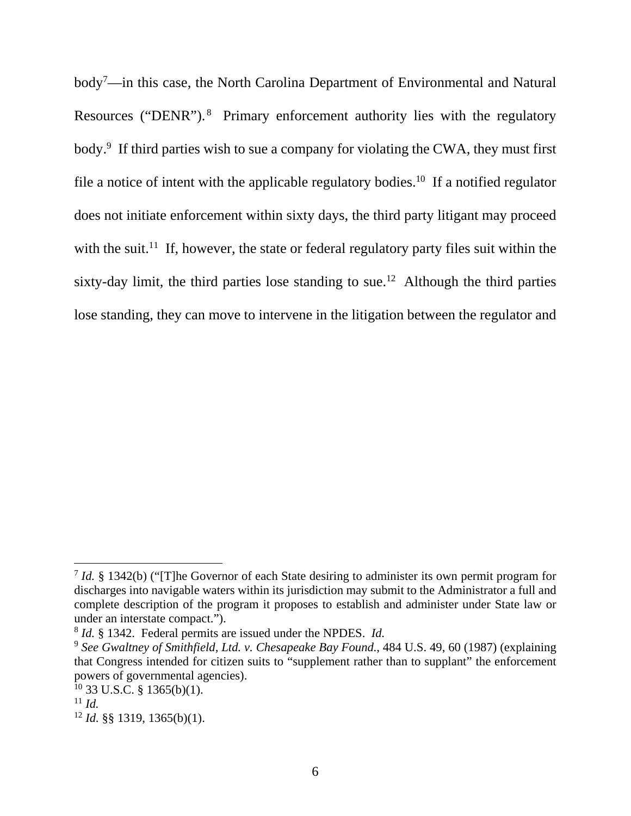body<sup>7</sup>—in this case, the North Carolina Department of Environmental and Natural Resources ("DENR"). 8 Primary enforcement authority lies with the regulatory body.<sup>9</sup> If third parties wish to sue a company for violating the CWA, they must first file a notice of intent with the applicable regulatory bodies.<sup>10</sup> If a notified regulator does not initiate enforcement within sixty days, the third party litigant may proceed with the suit.<sup>11</sup> If, however, the state or federal regulatory party files suit within the sixty-day limit, the third parties lose standing to sue.<sup>12</sup> Although the third parties lose standing, they can move to intervene in the litigation between the regulator and

<sup>7</sup> *Id.* § 1342(b) ("[T]he Governor of each State desiring to administer its own permit program for discharges into navigable waters within its jurisdiction may submit to the Administrator a full and complete description of the program it proposes to establish and administer under State law or under an interstate compact.").<br><sup>8</sup> *Id.* § 1342. Federal permits are issued under the NPDES. *Id.* 

<sup>&</sup>lt;sup>9</sup> See Gwaltney of Smithfield, Ltd. v. Chesapeake Bay Found., 484 U.S. 49, 60 (1987) (explaining that Congress intended for citizen suits to "supplement rather than to supplant" the enforcement powers of governmental agencies).

 $10$  33 U.S.C. § 1365(b)(1).

 $11$  *Id.* 

<sup>12</sup> *Id.* §§ 1319, 1365(b)(1).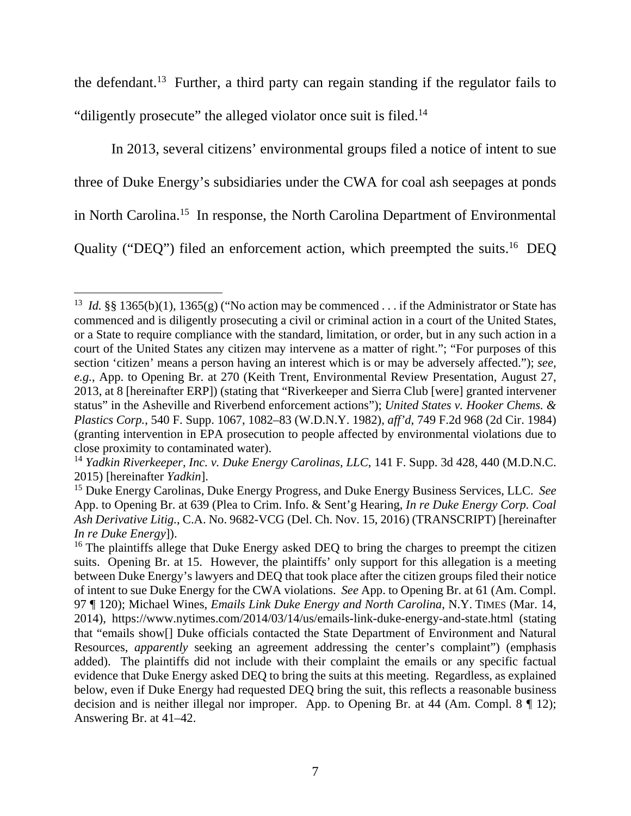the defendant.13 Further, a third party can regain standing if the regulator fails to "diligently prosecute" the alleged violator once suit is filed.<sup>14</sup>

In 2013, several citizens' environmental groups filed a notice of intent to sue three of Duke Energy's subsidiaries under the CWA for coal ash seepages at ponds in North Carolina.15 In response, the North Carolina Department of Environmental Quality ("DEQ") filed an enforcement action, which preempted the suits.<sup>16</sup> DEQ

<sup>&</sup>lt;sup>13</sup> *Id.* §§ 1365(b)(1), 1365(g) ("No action may be commenced . . . if the Administrator or State has commenced and is diligently prosecuting a civil or criminal action in a court of the United States, or a State to require compliance with the standard, limitation, or order, but in any such action in a court of the United States any citizen may intervene as a matter of right."; "For purposes of this section 'citizen' means a person having an interest which is or may be adversely affected."); *see, e.g.*, App. to Opening Br. at 270 (Keith Trent, Environmental Review Presentation, August 27, 2013, at 8 [hereinafter ERP]) (stating that "Riverkeeper and Sierra Club [were] granted intervener status" in the Asheville and Riverbend enforcement actions"); *United States v. Hooker Chems. & Plastics Corp.*, 540 F. Supp. 1067, 1082–83 (W.D.N.Y. 1982), *aff'd*, 749 F.2d 968 (2d Cir. 1984) (granting intervention in EPA prosecution to people affected by environmental violations due to close proximity to contaminated water).

<sup>&</sup>lt;sup>14</sup> *Yadkin Riverkeeper, Inc. v. Duke Energy Carolinas, LLC,* 141 F. Supp. 3d 428, 440 (M.D.N.C. 2015) [hereinafter *Yadkin*].

<sup>15</sup> Duke Energy Carolinas, Duke Energy Progress, and Duke Energy Business Services, LLC. *See*  App. to Opening Br. at 639 (Plea to Crim. Info. & Sent'g Hearing, *In re Duke Energy Corp. Coal Ash Derivative Litig.*, C.A. No. 9682-VCG (Del. Ch. Nov. 15, 2016) (TRANSCRIPT) [hereinafter *In re Duke Energy*]).

 $16$  The plaintiffs allege that Duke Energy asked DEQ to bring the charges to preempt the citizen suits. Opening Br. at 15. However, the plaintiffs' only support for this allegation is a meeting between Duke Energy's lawyers and DEQ that took place after the citizen groups filed their notice of intent to sue Duke Energy for the CWA violations. *See* App. to Opening Br. at 61 (Am. Compl. 97 ¶ 120); Michael Wines, *Emails Link Duke Energy and North Carolina*, N.Y. TIMES (Mar. 14, 2014), https://www.nytimes.com/2014/03/14/us/emails-link-duke-energy-and-state.html (stating that "emails show[] Duke officials contacted the State Department of Environment and Natural Resources, *apparently* seeking an agreement addressing the center's complaint") (emphasis added). The plaintiffs did not include with their complaint the emails or any specific factual evidence that Duke Energy asked DEQ to bring the suits at this meeting. Regardless, as explained below, even if Duke Energy had requested DEQ bring the suit, this reflects a reasonable business decision and is neither illegal nor improper. App. to Opening Br. at 44 (Am. Compl. 8 ¶ 12); Answering Br. at 41–42.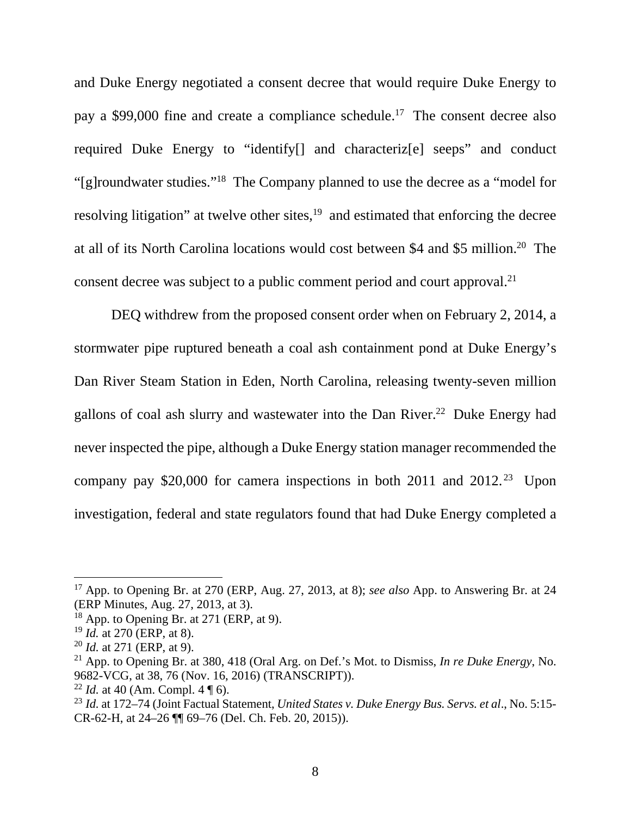and Duke Energy negotiated a consent decree that would require Duke Energy to pay a \$99,000 fine and create a compliance schedule.17 The consent decree also required Duke Energy to "identify[] and characteriz[e] seeps" and conduct "[g]roundwater studies."18 The Company planned to use the decree as a "model for resolving litigation" at twelve other sites,<sup>19</sup> and estimated that enforcing the decree at all of its North Carolina locations would cost between \$4 and \$5 million.20 The consent decree was subject to a public comment period and court approval.<sup>21</sup>

DEQ withdrew from the proposed consent order when on February 2, 2014, a stormwater pipe ruptured beneath a coal ash containment pond at Duke Energy's Dan River Steam Station in Eden, North Carolina, releasing twenty-seven million gallons of coal ash slurry and wastewater into the Dan River.<sup>22</sup> Duke Energy had never inspected the pipe, although a Duke Energy station manager recommended the company pay \$20,000 for camera inspections in both 2011 and  $2012.^{23}$  Upon investigation, federal and state regulators found that had Duke Energy completed a

<sup>17</sup> App. to Opening Br. at 270 (ERP, Aug. 27, 2013, at 8); *see also* App. to Answering Br. at 24 (ERP Minutes, Aug. 27, 2013, at 3).

 $18$  App. to Opening Br. at 271 (ERP, at 9).

<sup>19</sup> *Id.* at 270 (ERP, at 8).

<sup>20</sup> *Id.* at 271 (ERP, at 9).

<sup>21</sup> App. to Opening Br. at 380, 418 (Oral Arg. on Def.'s Mot. to Dismiss, *In re Duke Energy*, No. 9682-VCG, at 38, 76 (Nov. 16, 2016) (TRANSCRIPT)).

<sup>&</sup>lt;sup>22</sup> *Id.* at 40 (Am. Compl. 4  $\P$  6).

<sup>23</sup> *Id.* at 172–74 (Joint Factual Statement, *United States v. Duke Energy Bus. Servs. et al*., No. 5:15- CR-62-H, at 24–26 ¶¶ 69–76 (Del. Ch. Feb. 20, 2015)).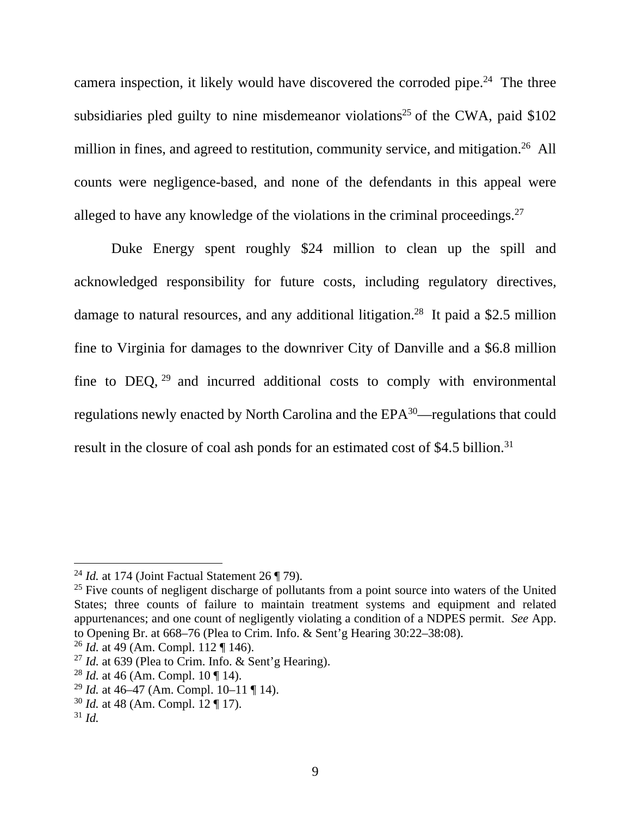camera inspection, it likely would have discovered the corroded pipe.<sup>24</sup> The three subsidiaries pled guilty to nine misdemeanor violations<sup>25</sup> of the CWA, paid  $$102$ million in fines, and agreed to restitution, community service, and mitigation.<sup>26</sup> All counts were negligence-based, and none of the defendants in this appeal were alleged to have any knowledge of the violations in the criminal proceedings.<sup>27</sup>

Duke Energy spent roughly \$24 million to clean up the spill and acknowledged responsibility for future costs, including regulatory directives, damage to natural resources, and any additional litigation.28 It paid a \$2.5 million fine to Virginia for damages to the downriver City of Danville and a \$6.8 million fine to DEQ,  $29$  and incurred additional costs to comply with environmental regulations newly enacted by North Carolina and the EPA<sup>30</sup>—regulations that could result in the closure of coal ash ponds for an estimated cost of \$4.5 billion.<sup>31</sup>

<sup>24</sup> *Id.* at 174 (Joint Factual Statement 26 ¶ 79).

 $25$  Five counts of negligent discharge of pollutants from a point source into waters of the United States; three counts of failure to maintain treatment systems and equipment and related appurtenances; and one count of negligently violating a condition of a NDPES permit. *See* App. to Opening Br. at 668–76 (Plea to Crim. Info. & Sent'g Hearing 30:22–38:08).

<sup>26</sup> *Id.* at 49 (Am. Compl. 112 ¶ 146).

<sup>&</sup>lt;sup>27</sup> *Id.* at 639 (Plea to Crim. Info.  $\&$  Sent'g Hearing).

<sup>28</sup> *Id.* at 46 (Am. Compl. 10 ¶ 14).

<sup>29</sup> *Id.* at 46–47 (Am. Compl. 10–11 ¶ 14).

<sup>30</sup> *Id.* at 48 (Am. Compl. 12 ¶ 17).

 $31$  *Id.*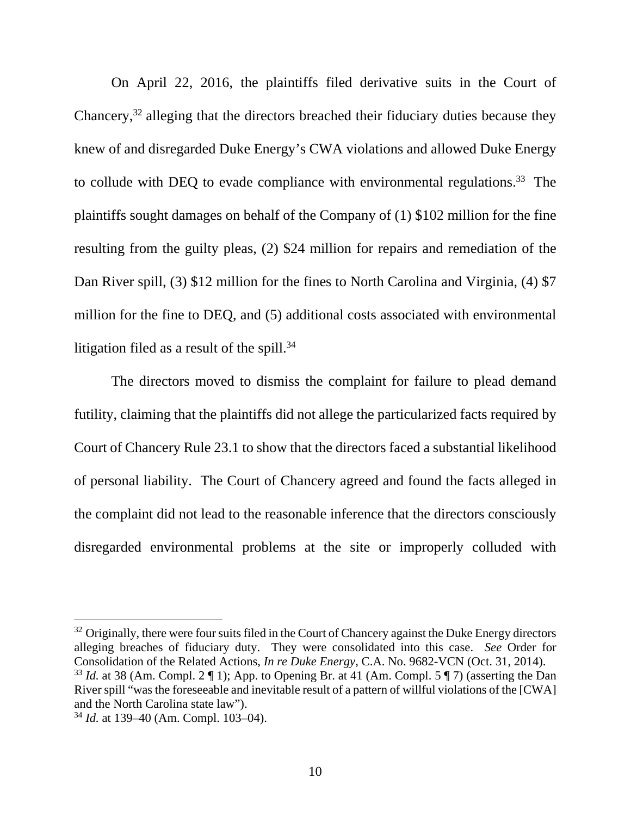On April 22, 2016, the plaintiffs filed derivative suits in the Court of Chancery,32 alleging that the directors breached their fiduciary duties because they knew of and disregarded Duke Energy's CWA violations and allowed Duke Energy to collude with DEQ to evade compliance with environmental regulations.<sup>33</sup> The plaintiffs sought damages on behalf of the Company of (1) \$102 million for the fine resulting from the guilty pleas, (2) \$24 million for repairs and remediation of the Dan River spill, (3) \$12 million for the fines to North Carolina and Virginia, (4) \$7 million for the fine to DEQ, and (5) additional costs associated with environmental litigation filed as a result of the spill. $34$ 

The directors moved to dismiss the complaint for failure to plead demand futility, claiming that the plaintiffs did not allege the particularized facts required by Court of Chancery Rule 23.1 to show that the directors faced a substantial likelihood of personal liability. The Court of Chancery agreed and found the facts alleged in the complaint did not lead to the reasonable inference that the directors consciously disregarded environmental problems at the site or improperly colluded with

<sup>&</sup>lt;sup>32</sup> Originally, there were four suits filed in the Court of Chancery against the Duke Energy directors alleging breaches of fiduciary duty. They were consolidated into this case. *See* Order for Consolidation of the Related Actions, *In re Duke Energy*, C.A. No. 9682-VCN (Oct. 31, 2014). <sup>33</sup> *Id.* at 38 (Am. Compl. 2  $\P$  1); App. to Opening Br. at 41 (Am. Compl. 5  $\P$  7) (asserting the Dan River spill "was the foreseeable and inevitable result of a pattern of willful violations of the [CWA] and the North Carolina state law").

<sup>34</sup> *Id.* at 139–40 (Am. Compl. 103–04).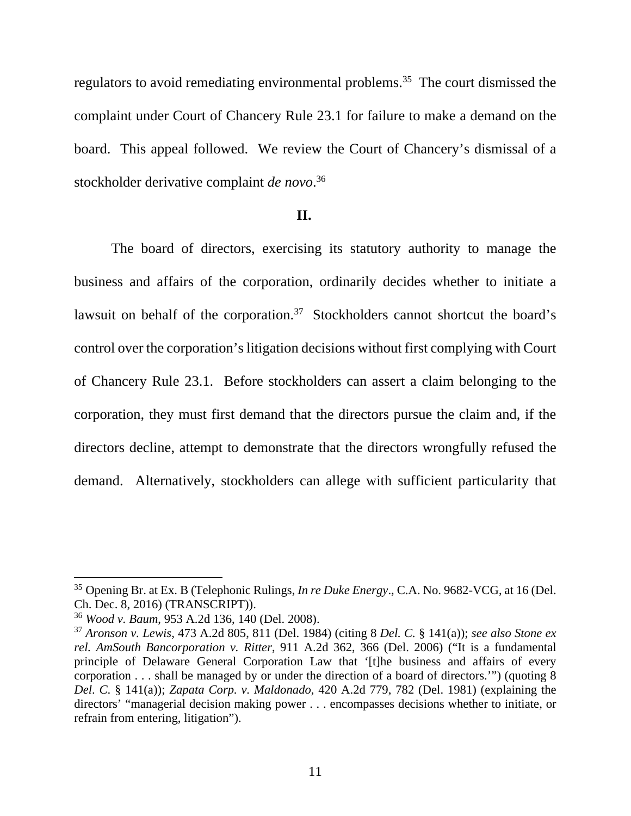regulators to avoid remediating environmental problems.<sup>35</sup> The court dismissed the complaint under Court of Chancery Rule 23.1 for failure to make a demand on the board. This appeal followed. We review the Court of Chancery's dismissal of a stockholder derivative complaint *de novo*. 36

#### **II.**

The board of directors, exercising its statutory authority to manage the business and affairs of the corporation, ordinarily decides whether to initiate a lawsuit on behalf of the corporation.<sup>37</sup> Stockholders cannot shortcut the board's control over the corporation's litigation decisions without first complying with Court of Chancery Rule 23.1. Before stockholders can assert a claim belonging to the corporation, they must first demand that the directors pursue the claim and, if the directors decline, attempt to demonstrate that the directors wrongfully refused the demand. Alternatively, stockholders can allege with sufficient particularity that

<sup>35</sup> Opening Br. at Ex. B (Telephonic Rulings, *In re Duke Energy*., C.A. No. 9682-VCG, at 16 (Del. Ch. Dec. 8, 2016) (TRANSCRIPT)).

<sup>36</sup> *Wood v. Baum*, 953 A.2d 136, 140 (Del. 2008).

<sup>37</sup> *Aronson v. Lewis*, 473 A.2d 805, 811 (Del. 1984) (citing 8 *Del. C.* § 141(a)); *see also Stone ex rel. AmSouth Bancorporation v. Ritter*, 911 A.2d 362, 366 (Del. 2006) ("It is a fundamental principle of Delaware General Corporation Law that '[t]he business and affairs of every corporation . . . shall be managed by or under the direction of a board of directors.'") (quoting 8 *Del*. *C*. § 141(a)); *Zapata Corp. v. Maldonado*, 420 A.2d 779, 782 (Del. 1981) (explaining the directors' "managerial decision making power . . . encompasses decisions whether to initiate, or refrain from entering, litigation").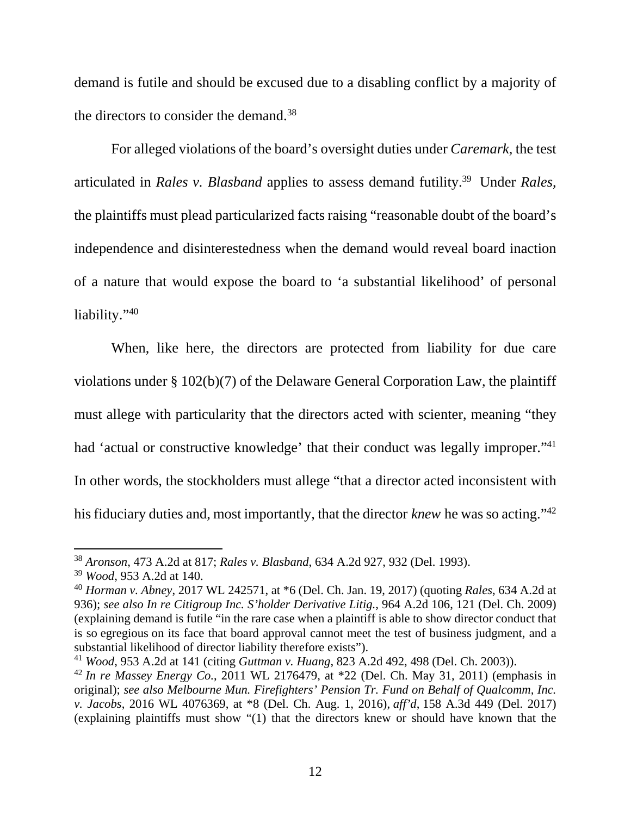demand is futile and should be excused due to a disabling conflict by a majority of the directors to consider the demand.38

For alleged violations of the board's oversight duties under *Caremark*, the test articulated in *Rales v. Blasband* applies to assess demand futility.39 Under *Rales*, the plaintiffs must plead particularized facts raising "reasonable doubt of the board's independence and disinterestedness when the demand would reveal board inaction of a nature that would expose the board to 'a substantial likelihood' of personal liability."40

When, like here, the directors are protected from liability for due care violations under § 102(b)(7) of the Delaware General Corporation Law, the plaintiff must allege with particularity that the directors acted with scienter, meaning "they had 'actual or constructive knowledge' that their conduct was legally improper."<sup>41</sup> In other words, the stockholders must allege "that a director acted inconsistent with his fiduciary duties and, most importantly, that the director *knew* he was so acting."42

<sup>38</sup> *Aronson*, 473 A.2d at 817; *Rales v. Blasband*, 634 A.2d 927, 932 (Del. 1993).

<sup>39</sup> *Wood*, 953 A.2d at 140.

<sup>40</sup> *Horman v. Abney*, 2017 WL 242571, at \*6 (Del. Ch. Jan. 19, 2017) (quoting *Rales*, 634 A.2d at 936); *see also In re Citigroup Inc. S'holder Derivative Litig.*, 964 A.2d 106, 121 (Del. Ch. 2009) (explaining demand is futile "in the rare case when a plaintiff is able to show director conduct that is so egregious on its face that board approval cannot meet the test of business judgment, and a substantial likelihood of director liability therefore exists").

<sup>41</sup> *Wood*, 953 A.2d at 141 (citing *Guttman v. Huang*, 823 A.2d 492, 498 (Del. Ch. 2003)).

<sup>42</sup> *In re Massey Energy Co.*, 2011 WL 2176479, at \*22 (Del. Ch. May 31, 2011) (emphasis in original); *see also Melbourne Mun. Firefighters' Pension Tr. Fund on Behalf of Qualcomm, Inc. v. Jacobs*, 2016 WL 4076369, at \*8 (Del. Ch. Aug. 1, 2016), *aff'd*, 158 A.3d 449 (Del. 2017) (explaining plaintiffs must show "(1) that the directors knew or should have known that the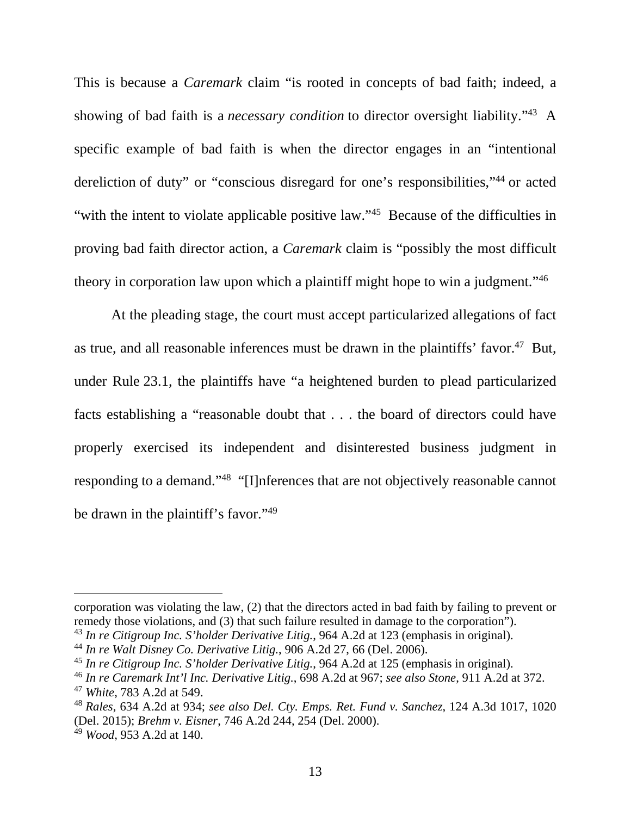This is because a *Caremark* claim "is rooted in concepts of bad faith; indeed, a showing of bad faith is a *necessary condition* to director oversight liability."43 A specific example of bad faith is when the director engages in an "intentional dereliction of duty" or "conscious disregard for one's responsibilities,"44 or acted "with the intent to violate applicable positive law."45 Because of the difficulties in proving bad faith director action, a *Caremark* claim is "possibly the most difficult theory in corporation law upon which a plaintiff might hope to win a judgment."46

At the pleading stage, the court must accept particularized allegations of fact as true, and all reasonable inferences must be drawn in the plaintiffs' favor.<sup>47</sup> But, under Rule 23.1, the plaintiffs have "a heightened burden to plead particularized facts establishing a "reasonable doubt that . . . the board of directors could have properly exercised its independent and disinterested business judgment in responding to a demand."48 "[I]nferences that are not objectively reasonable cannot be drawn in the plaintiff's favor."<sup>49</sup>

corporation was violating the law, (2) that the directors acted in bad faith by failing to prevent or remedy those violations, and (3) that such failure resulted in damage to the corporation").

<sup>43</sup> *In re Citigroup Inc. S'holder Derivative Litig.*, 964 A.2d at 123 (emphasis in original).

<sup>44</sup> *In re Walt Disney Co. Derivative Litig.*, 906 A.2d 27, 66 (Del. 2006).

<sup>45</sup> *In re Citigroup Inc. S'holder Derivative Litig.*, 964 A.2d at 125 (emphasis in original).

<sup>46</sup> *In re Caremark Int'l Inc. Derivative Litig.*, 698 A.2d at 967; *see also Stone*, 911 A.2d at 372.

<sup>47</sup> *White*, 783 A.2d at 549.

<sup>48</sup> *Rales*, 634 A.2d at 934; *see also Del. Cty. Emps. Ret. Fund v. Sanchez*, 124 A.3d 1017, 1020 (Del. 2015); *Brehm v. Eisner*, 746 A.2d 244, 254 (Del. 2000).

<sup>49</sup> *Wood*, 953 A.2d at 140.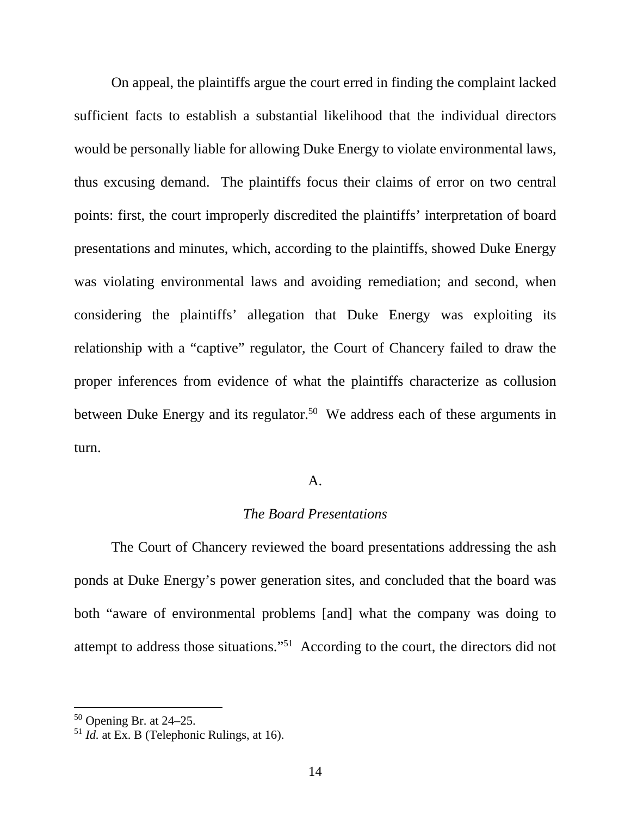On appeal, the plaintiffs argue the court erred in finding the complaint lacked sufficient facts to establish a substantial likelihood that the individual directors would be personally liable for allowing Duke Energy to violate environmental laws, thus excusing demand. The plaintiffs focus their claims of error on two central points: first, the court improperly discredited the plaintiffs' interpretation of board presentations and minutes, which, according to the plaintiffs, showed Duke Energy was violating environmental laws and avoiding remediation; and second, when considering the plaintiffs' allegation that Duke Energy was exploiting its relationship with a "captive" regulator, the Court of Chancery failed to draw the proper inferences from evidence of what the plaintiffs characterize as collusion between Duke Energy and its regulator.<sup>50</sup> We address each of these arguments in turn.

### A.

# *The Board Presentations*

 The Court of Chancery reviewed the board presentations addressing the ash ponds at Duke Energy's power generation sites, and concluded that the board was both "aware of environmental problems [and] what the company was doing to attempt to address those situations."51 According to the court, the directors did not

 $50$  Opening Br. at 24–25.

<sup>51</sup> *Id.* at Ex. B (Telephonic Rulings, at 16).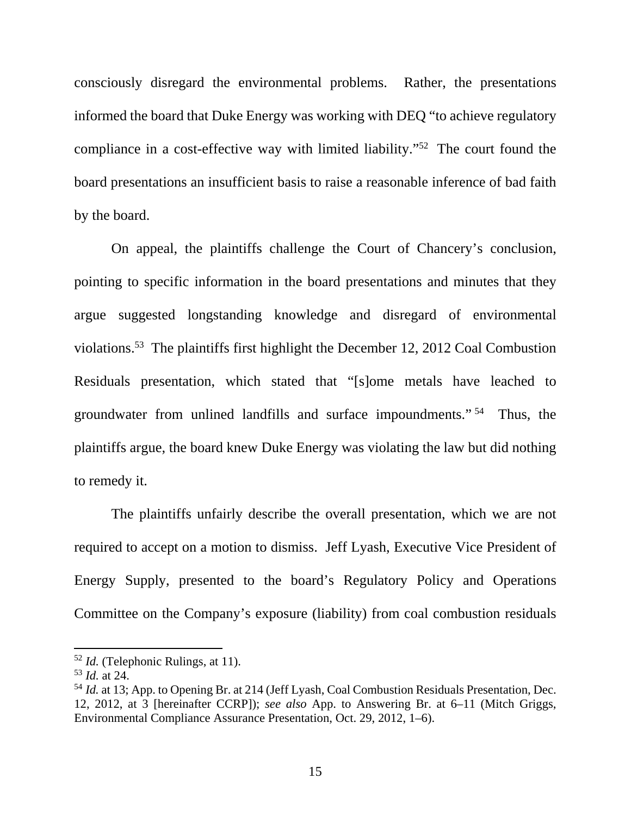consciously disregard the environmental problems. Rather, the presentations informed the board that Duke Energy was working with DEQ "to achieve regulatory compliance in a cost-effective way with limited liability."52 The court found the board presentations an insufficient basis to raise a reasonable inference of bad faith by the board.

On appeal, the plaintiffs challenge the Court of Chancery's conclusion, pointing to specific information in the board presentations and minutes that they argue suggested longstanding knowledge and disregard of environmental violations.53 The plaintiffs first highlight the December 12, 2012 Coal Combustion Residuals presentation, which stated that "[s]ome metals have leached to groundwater from unlined landfills and surface impoundments." 54 Thus, the plaintiffs argue, the board knew Duke Energy was violating the law but did nothing to remedy it.

The plaintiffs unfairly describe the overall presentation, which we are not required to accept on a motion to dismiss. Jeff Lyash, Executive Vice President of Energy Supply, presented to the board's Regulatory Policy and Operations Committee on the Company's exposure (liability) from coal combustion residuals

<sup>52</sup> *Id.* (Telephonic Rulings, at 11).

<sup>53</sup> *Id.* at 24.

<sup>54</sup> *Id.* at 13; App. to Opening Br. at 214 (Jeff Lyash, Coal Combustion Residuals Presentation, Dec. 12, 2012, at 3 [hereinafter CCRP]); *see also* App. to Answering Br. at 6–11 (Mitch Griggs, Environmental Compliance Assurance Presentation, Oct. 29, 2012, 1–6).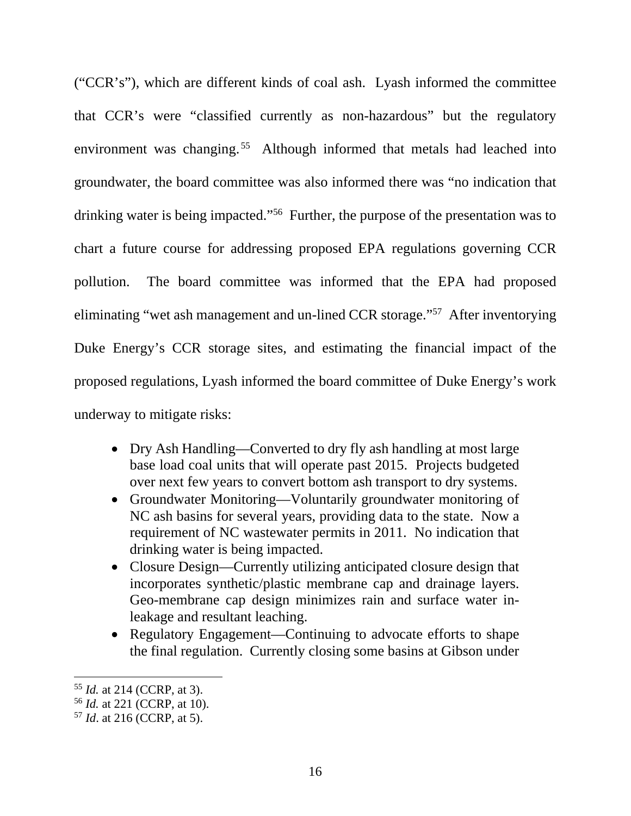("CCR's"), which are different kinds of coal ash. Lyash informed the committee that CCR's were "classified currently as non-hazardous" but the regulatory environment was changing.<sup>55</sup> Although informed that metals had leached into groundwater, the board committee was also informed there was "no indication that drinking water is being impacted."56 Further, the purpose of the presentation was to chart a future course for addressing proposed EPA regulations governing CCR pollution. The board committee was informed that the EPA had proposed eliminating "wet ash management and un-lined CCR storage."57 After inventorying Duke Energy's CCR storage sites, and estimating the financial impact of the proposed regulations, Lyash informed the board committee of Duke Energy's work underway to mitigate risks:

- Dry Ash Handling—Converted to dry fly ash handling at most large base load coal units that will operate past 2015. Projects budgeted over next few years to convert bottom ash transport to dry systems.
- Groundwater Monitoring—Voluntarily groundwater monitoring of NC ash basins for several years, providing data to the state. Now a requirement of NC wastewater permits in 2011. No indication that drinking water is being impacted.
- Closure Design—Currently utilizing anticipated closure design that incorporates synthetic/plastic membrane cap and drainage layers. Geo-membrane cap design minimizes rain and surface water inleakage and resultant leaching.
- Regulatory Engagement—Continuing to advocate efforts to shape the final regulation. Currently closing some basins at Gibson under

<sup>55</sup> *Id.* at 214 (CCRP, at 3).

<sup>56</sup> *Id.* at 221 (CCRP, at 10).

<sup>57</sup> *Id*. at 216 (CCRP, at 5).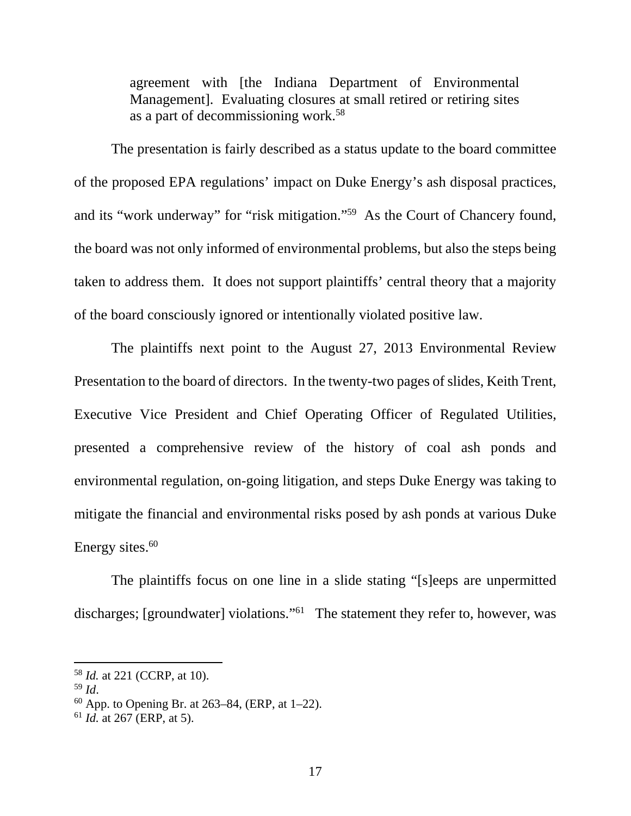agreement with [the Indiana Department of Environmental Management]. Evaluating closures at small retired or retiring sites as a part of decommissioning work.58

The presentation is fairly described as a status update to the board committee of the proposed EPA regulations' impact on Duke Energy's ash disposal practices, and its "work underway" for "risk mitigation."59 As the Court of Chancery found, the board was not only informed of environmental problems, but also the steps being taken to address them. It does not support plaintiffs' central theory that a majority of the board consciously ignored or intentionally violated positive law.

The plaintiffs next point to the August 27, 2013 Environmental Review Presentation to the board of directors. In the twenty-two pages of slides, Keith Trent, Executive Vice President and Chief Operating Officer of Regulated Utilities, presented a comprehensive review of the history of coal ash ponds and environmental regulation, on-going litigation, and steps Duke Energy was taking to mitigate the financial and environmental risks posed by ash ponds at various Duke Energy sites. $60$ 

The plaintiffs focus on one line in a slide stating "[s]eeps are unpermitted discharges; [groundwater] violations."<sup>61</sup> The statement they refer to, however, was

<sup>58</sup> *Id.* at 221 (CCRP, at 10).

<sup>59</sup> *Id*. 60 App. to Opening Br. at 263–84, (ERP, at 1–22).

<sup>61</sup> *Id.* at 267 (ERP, at 5).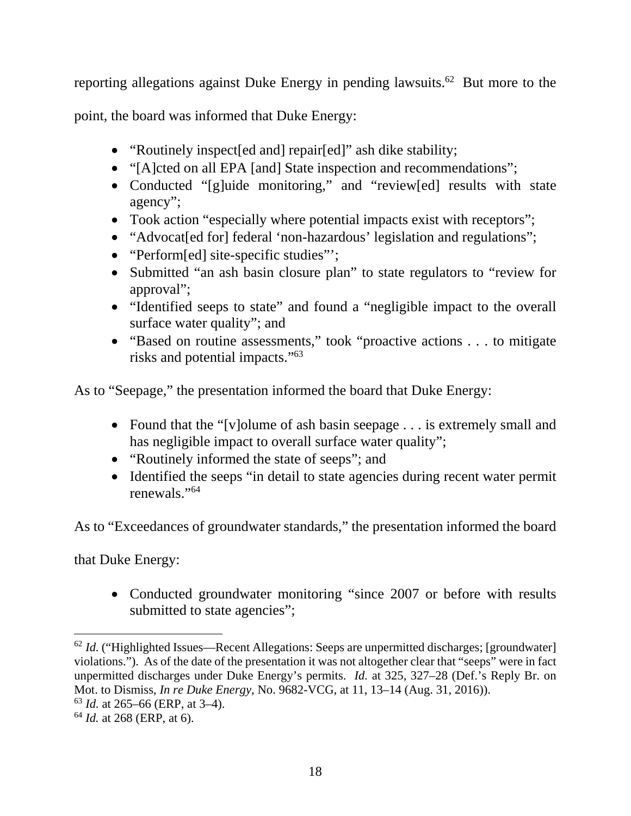reporting allegations against Duke Energy in pending lawsuits.<sup>62</sup> But more to the

point, the board was informed that Duke Energy:

- "Routinely inspect[ed and] repair[ed]" ash dike stability;
- "[A]cted on all EPA [and] State inspection and recommendations";
- Conducted "[g]uide monitoring," and "review[ed] results with state agency";
- Took action "especially where potential impacts exist with receptors";
- "Advocat[ed for] federal 'non-hazardous' legislation and regulations";
- "Perform[ed] site-specific studies":
- Submitted "an ash basin closure plan" to state regulators to "review for approval";
- "Identified seeps to state" and found a "negligible impact to the overall surface water quality"; and
- "Based on routine assessments," took "proactive actions . . . to mitigate risks and potential impacts."63

As to "Seepage," the presentation informed the board that Duke Energy:

- Found that the "[v]olume of ash basin seepage . . . is extremely small and has negligible impact to overall surface water quality";
- "Routinely informed the state of seeps"; and
- Identified the seeps "in detail to state agencies during recent water permit renewals."64

As to "Exceedances of groundwater standards," the presentation informed the board

that Duke Energy:

 $\overline{a}$ 

• Conducted groundwater monitoring "since 2007 or before with results submitted to state agencies";

<sup>63</sup> *Id.* at 265–66 (ERP, at 3–4).

<sup>&</sup>lt;sup>62</sup> *Id.* ("Highlighted Issues—Recent Allegations: Seeps are unpermitted discharges; [groundwater] violations."). As of the date of the presentation it was not altogether clear that "seeps" were in fact unpermitted discharges under Duke Energy's permits. *Id.* at 325, 327–28 (Def.'s Reply Br. on Mot. to Dismiss, *In re Duke Energy*, No. 9682-VCG, at 11, 13–14 (Aug. 31, 2016)).

<sup>64</sup> *Id.* at 268 (ERP, at 6).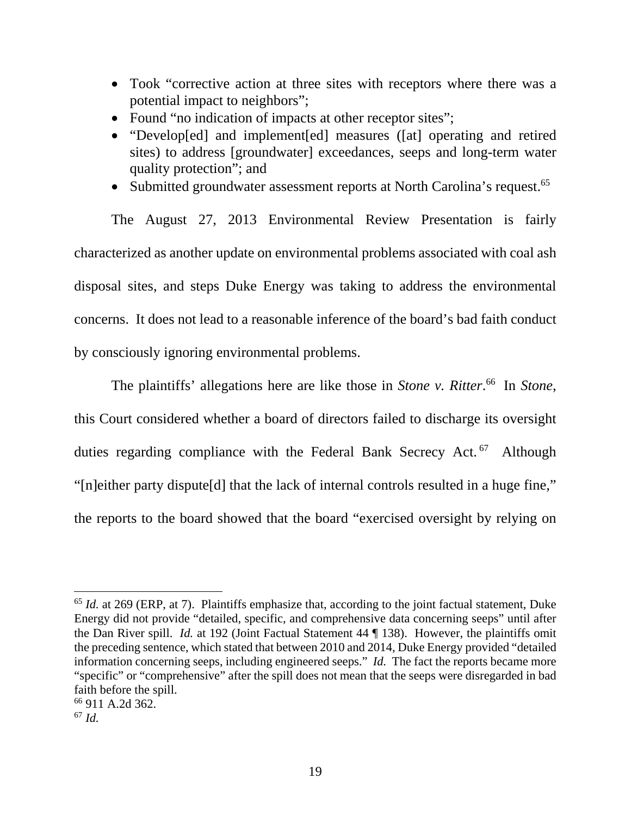- Took "corrective action at three sites with receptors where there was a potential impact to neighbors";
- Found "no indication of impacts at other receptor sites";
- "Develop[ed] and implement[ed] measures ([at] operating and retired sites) to address [groundwater] exceedances, seeps and long-term water quality protection"; and
- Submitted groundwater assessment reports at North Carolina's request.<sup>65</sup>

 The August 27, 2013 Environmental Review Presentation is fairly characterized as another update on environmental problems associated with coal ash disposal sites, and steps Duke Energy was taking to address the environmental concerns. It does not lead to a reasonable inference of the board's bad faith conduct by consciously ignoring environmental problems.

 The plaintiffs' allegations here are like those in *Stone v. Ritter*. 66 In *Stone*, this Court considered whether a board of directors failed to discharge its oversight duties regarding compliance with the Federal Bank Secrecy Act.<sup>67</sup> Although "[n]either party dispute[d] that the lack of internal controls resulted in a huge fine," the reports to the board showed that the board "exercised oversight by relying on

<sup>65</sup> *Id.* at 269 (ERP, at 7). Plaintiffs emphasize that, according to the joint factual statement, Duke Energy did not provide "detailed, specific, and comprehensive data concerning seeps" until after the Dan River spill. *Id.* at 192 (Joint Factual Statement 44 ¶ 138). However, the plaintiffs omit the preceding sentence, which stated that between 2010 and 2014, Duke Energy provided "detailed information concerning seeps, including engineered seeps." *Id.* The fact the reports became more "specific" or "comprehensive" after the spill does not mean that the seeps were disregarded in bad faith before the spill.

<sup>66 911</sup> A.2d 362.

<sup>67</sup> *Id.*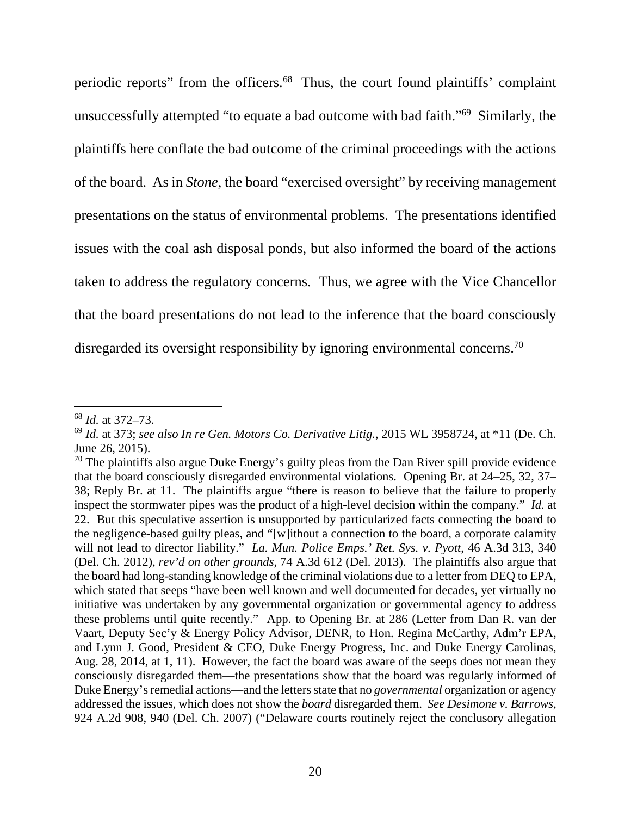periodic reports" from the officers.68 Thus, the court found plaintiffs' complaint unsuccessfully attempted "to equate a bad outcome with bad faith."69 Similarly, the plaintiffs here conflate the bad outcome of the criminal proceedings with the actions of the board. As in *Stone*, the board "exercised oversight" by receiving management presentations on the status of environmental problems. The presentations identified issues with the coal ash disposal ponds, but also informed the board of the actions taken to address the regulatory concerns. Thus, we agree with the Vice Chancellor that the board presentations do not lead to the inference that the board consciously disregarded its oversight responsibility by ignoring environmental concerns.<sup>70</sup>

<sup>68</sup> *Id.* at 372–73.

<sup>69</sup> *Id.* at 373; *see also In re Gen. Motors Co. Derivative Litig.*, 2015 WL 3958724, at \*11 (De. Ch. June 26, 2015).

 $70$  The plaintiffs also argue Duke Energy's guilty pleas from the Dan River spill provide evidence that the board consciously disregarded environmental violations. Opening Br. at 24–25, 32, 37– 38; Reply Br. at 11. The plaintiffs argue "there is reason to believe that the failure to properly inspect the stormwater pipes was the product of a high-level decision within the company." *Id.* at 22. But this speculative assertion is unsupported by particularized facts connecting the board to the negligence-based guilty pleas, and "[w]ithout a connection to the board, a corporate calamity will not lead to director liability." *La. Mun. Police Emps.' Ret. Sys. v. Pyott*, 46 A.3d 313, 340 (Del. Ch. 2012), *rev'd on other grounds*, 74 A.3d 612 (Del. 2013). The plaintiffs also argue that the board had long-standing knowledge of the criminal violations due to a letter from DEQ to EPA, which stated that seeps "have been well known and well documented for decades, yet virtually no initiative was undertaken by any governmental organization or governmental agency to address these problems until quite recently." App. to Opening Br. at 286 (Letter from Dan R. van der Vaart, Deputy Sec'y & Energy Policy Advisor, DENR, to Hon. Regina McCarthy, Adm'r EPA, and Lynn J. Good, President & CEO, Duke Energy Progress, Inc. and Duke Energy Carolinas, Aug. 28, 2014, at 1, 11). However, the fact the board was aware of the seeps does not mean they consciously disregarded them—the presentations show that the board was regularly informed of Duke Energy's remedial actions—and the letters state that no *governmental* organization or agency addressed the issues, which does not show the *board* disregarded them. *See Desimone v. Barrows*, 924 A.2d 908, 940 (Del. Ch. 2007) ("Delaware courts routinely reject the conclusory allegation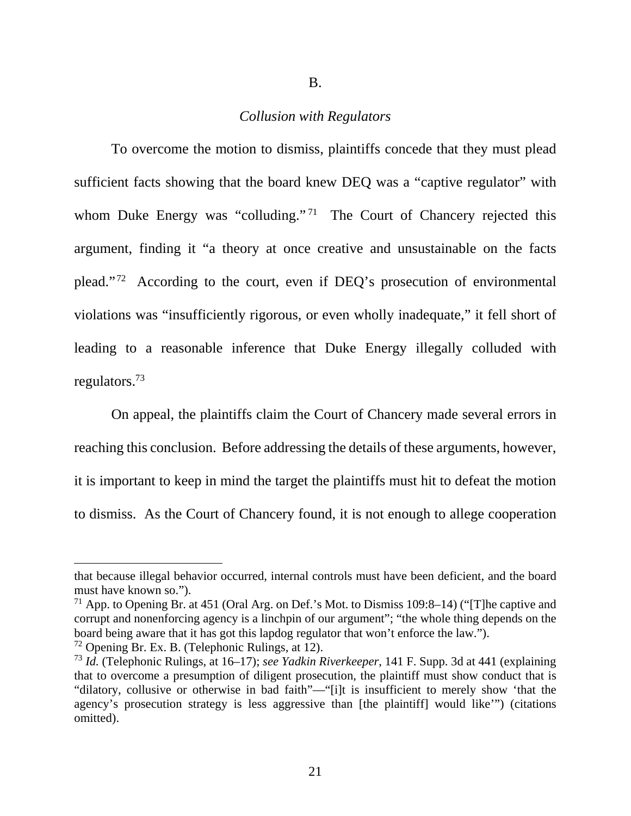B.

### *Collusion with Regulators*

To overcome the motion to dismiss, plaintiffs concede that they must plead sufficient facts showing that the board knew DEQ was a "captive regulator" with whom Duke Energy was "colluding."<sup>71</sup> The Court of Chancery rejected this argument, finding it "a theory at once creative and unsustainable on the facts plead." 72 According to the court, even if DEQ's prosecution of environmental violations was "insufficiently rigorous, or even wholly inadequate," it fell short of leading to a reasonable inference that Duke Energy illegally colluded with regulators.73

On appeal, the plaintiffs claim the Court of Chancery made several errors in reaching this conclusion. Before addressing the details of these arguments, however, it is important to keep in mind the target the plaintiffs must hit to defeat the motion to dismiss. As the Court of Chancery found, it is not enough to allege cooperation

that because illegal behavior occurred, internal controls must have been deficient, and the board must have known so.").

<sup>&</sup>lt;sup>71</sup> App. to Opening Br. at 451 (Oral Arg. on Def.'s Mot. to Dismiss 109:8–14) ("The captive and corrupt and nonenforcing agency is a linchpin of our argument"; "the whole thing depends on the board being aware that it has got this lapdog regulator that won't enforce the law.").

 $72$  Opening Br. Ex. B. (Telephonic Rulings, at 12).

<sup>73</sup> *Id.* (Telephonic Rulings, at 16–17); *see Yadkin Riverkeeper*, 141 F. Supp. 3d at 441 (explaining that to overcome a presumption of diligent prosecution, the plaintiff must show conduct that is "dilatory, collusive or otherwise in bad faith"—"[i]t is insufficient to merely show 'that the agency's prosecution strategy is less aggressive than [the plaintiff] would like'") (citations omitted).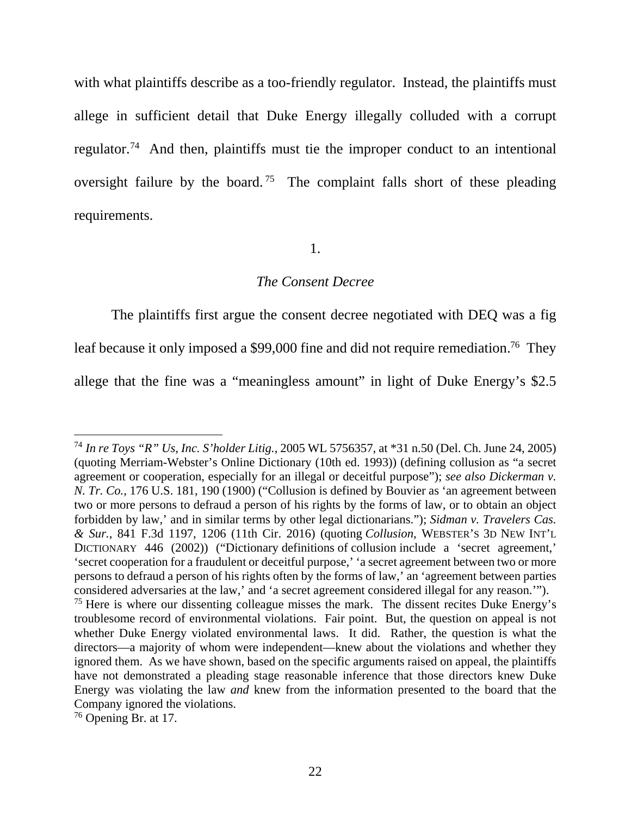with what plaintiffs describe as a too-friendly regulator. Instead, the plaintiffs must allege in sufficient detail that Duke Energy illegally colluded with a corrupt regulator.74 And then, plaintiffs must tie the improper conduct to an intentional oversight failure by the board.<sup>75</sup> The complaint falls short of these pleading requirements.

#### 1.

#### *The Consent Decree*

The plaintiffs first argue the consent decree negotiated with DEQ was a fig leaf because it only imposed a \$99,000 fine and did not require remediation.<sup>76</sup> They allege that the fine was a "meaningless amount" in light of Duke Energy's \$2.5

<sup>74</sup> *In re Toys "R" Us, Inc. S'holder Litig.*, 2005 WL 5756357, at \*31 n.50 (Del. Ch. June 24, 2005) (quoting Merriam-Webster's Online Dictionary (10th ed. 1993)) (defining collusion as "a secret agreement or cooperation, especially for an illegal or deceitful purpose"); *see also Dickerman v. N. Tr. Co.*, 176 U.S. 181, 190 (1900) ("Collusion is defined by Bouvier as 'an agreement between two or more persons to defraud a person of his rights by the forms of law, or to obtain an object forbidden by law,' and in similar terms by other legal dictionarians."); *Sidman v. Travelers Cas. & Sur.*, 841 F.3d 1197, 1206 (11th Cir. 2016) (quoting *Collusion*, WEBSTER'S 3D NEW INT'L DICTIONARY 446 (2002)) ("Dictionary definitions of collusion include a 'secret agreement,' 'secret cooperation for a fraudulent or deceitful purpose,' 'a secret agreement between two or more persons to defraud a person of his rights often by the forms of law,' an 'agreement between parties considered adversaries at the law,' and 'a secret agreement considered illegal for any reason.'").  $75$  Here is where our dissenting colleague misses the mark. The dissent recites Duke Energy's troublesome record of environmental violations. Fair point. But, the question on appeal is not whether Duke Energy violated environmental laws. It did. Rather, the question is what the directors—a majority of whom were independent—knew about the violations and whether they ignored them. As we have shown, based on the specific arguments raised on appeal, the plaintiffs have not demonstrated a pleading stage reasonable inference that those directors knew Duke Energy was violating the law *and* knew from the information presented to the board that the Company ignored the violations.

<sup>76</sup> Opening Br. at 17.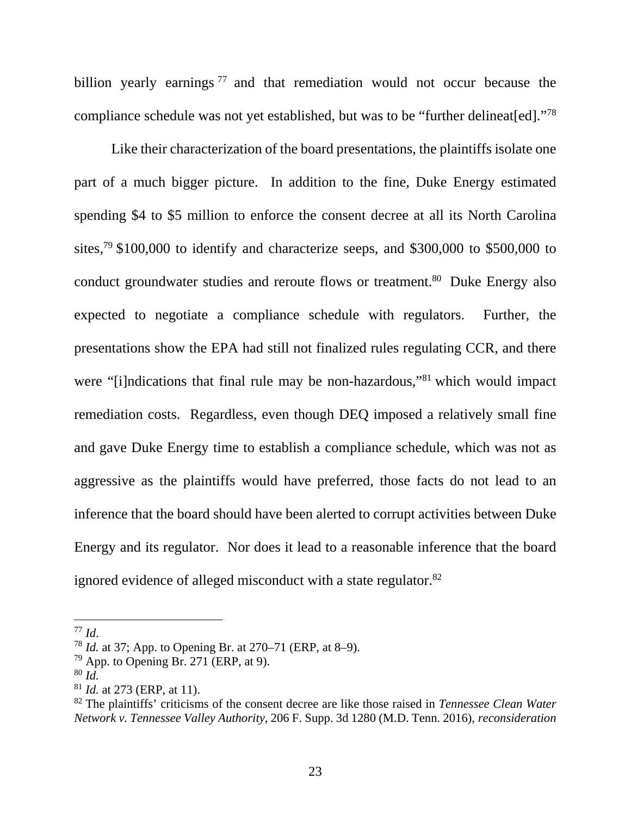billion yearly earnings  $77$  and that remediation would not occur because the compliance schedule was not yet established, but was to be "further delineat[ed]."78

Like their characterization of the board presentations, the plaintiffs isolate one part of a much bigger picture. In addition to the fine, Duke Energy estimated spending \$4 to \$5 million to enforce the consent decree at all its North Carolina sites,<sup>79</sup> \$100,000 to identify and characterize seeps, and \$300,000 to \$500,000 to conduct groundwater studies and reroute flows or treatment.<sup>80</sup> Duke Energy also expected to negotiate a compliance schedule with regulators. Further, the presentations show the EPA had still not finalized rules regulating CCR, and there were "[i]ndications that final rule may be non-hazardous,"<sup>81</sup> which would impact remediation costs. Regardless, even though DEQ imposed a relatively small fine and gave Duke Energy time to establish a compliance schedule, which was not as aggressive as the plaintiffs would have preferred, those facts do not lead to an inference that the board should have been alerted to corrupt activities between Duke Energy and its regulator. Nor does it lead to a reasonable inference that the board ignored evidence of alleged misconduct with a state regulator.<sup>82</sup>

<sup>77</sup> *Id*. 78 *Id.* at 37; App. to Opening Br. at 270–71 (ERP, at 8–9).

 $79$  App. to Opening Br. 271 (ERP, at 9).

<sup>80</sup> *Id.*

<sup>81</sup> *Id.* at 273 (ERP, at 11).

<sup>82</sup> The plaintiffs' criticisms of the consent decree are like those raised in *Tennessee Clean Water Network v. Tennessee Valley Authority*, 206 F. Supp. 3d 1280 (M.D. Tenn. 2016), *reconsideration*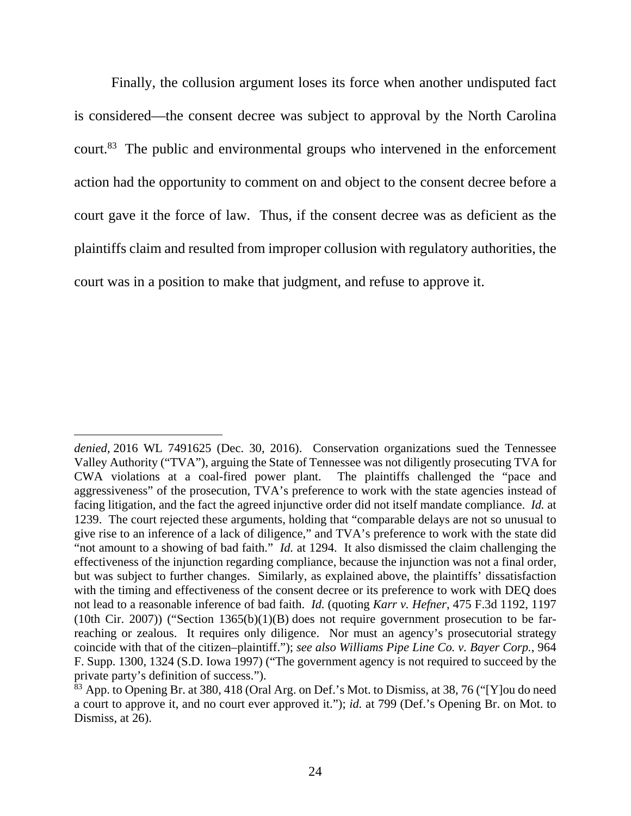Finally, the collusion argument loses its force when another undisputed fact is considered—the consent decree was subject to approval by the North Carolina court.83 The public and environmental groups who intervened in the enforcement action had the opportunity to comment on and object to the consent decree before a court gave it the force of law. Thus, if the consent decree was as deficient as the plaintiffs claim and resulted from improper collusion with regulatory authorities, the court was in a position to make that judgment, and refuse to approve it.

 $\overline{a}$ *denied,* 2016 WL 7491625 (Dec. 30, 2016). Conservation organizations sued the Tennessee Valley Authority ("TVA"), arguing the State of Tennessee was not diligently prosecuting TVA for CWA violations at a coal-fired power plant. The plaintiffs challenged the "pace and aggressiveness" of the prosecution, TVA's preference to work with the state agencies instead of facing litigation, and the fact the agreed injunctive order did not itself mandate compliance. *Id.* at 1239. The court rejected these arguments, holding that "comparable delays are not so unusual to give rise to an inference of a lack of diligence," and TVA's preference to work with the state did "not amount to a showing of bad faith." *Id.* at 1294. It also dismissed the claim challenging the effectiveness of the injunction regarding compliance, because the injunction was not a final order, but was subject to further changes. Similarly, as explained above, the plaintiffs' dissatisfaction with the timing and effectiveness of the consent decree or its preference to work with DEO does not lead to a reasonable inference of bad faith. *Id.* (quoting *Karr v. Hefner*, 475 F.3d 1192, 1197 (10th Cir. 2007)) ("Section 1365(b)(1)(B) does not require government prosecution to be farreaching or zealous. It requires only diligence. Nor must an agency's prosecutorial strategy coincide with that of the citizen–plaintiff."); *see also Williams Pipe Line Co. v. Bayer Corp.*, 964 F. Supp. 1300, 1324 (S.D. Iowa 1997) ("The government agency is not required to succeed by the private party's definition of success.").

<sup>&</sup>lt;sup>83</sup> App. to Opening Br. at 380, 418 (Oral Arg. on Def.'s Mot. to Dismiss, at 38, 76 ("[Y] ou do need a court to approve it, and no court ever approved it."); *id.* at 799 (Def.'s Opening Br. on Mot. to Dismiss, at 26).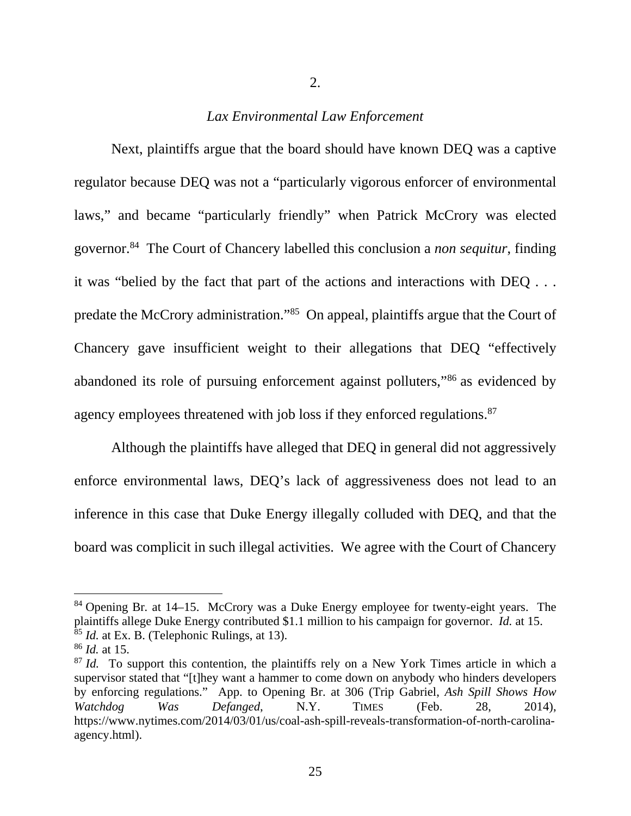#### 2.

## *Lax Environmental Law Enforcement*

 Next, plaintiffs argue that the board should have known DEQ was a captive regulator because DEQ was not a "particularly vigorous enforcer of environmental laws," and became "particularly friendly" when Patrick McCrory was elected governor.84 The Court of Chancery labelled this conclusion a *non sequitur*, finding it was "belied by the fact that part of the actions and interactions with DEQ . . . predate the McCrory administration."85 On appeal, plaintiffs argue that the Court of Chancery gave insufficient weight to their allegations that DEQ "effectively abandoned its role of pursuing enforcement against polluters,"86 as evidenced by agency employees threatened with job loss if they enforced regulations.<sup>87</sup>

 Although the plaintiffs have alleged that DEQ in general did not aggressively enforce environmental laws, DEQ's lack of aggressiveness does not lead to an inference in this case that Duke Energy illegally colluded with DEQ, and that the board was complicit in such illegal activities. We agree with the Court of Chancery

<sup>84</sup> Opening Br*.* at 14–15. McCrory was a Duke Energy employee for twenty-eight years. The plaintiffs allege Duke Energy contributed \$1.1 million to his campaign for governor. *Id.* at 15. <sup>85</sup> *Id.* at Ex. B. (Telephonic Rulings, at 13).

<sup>86</sup> *Id.* at 15.

<sup>&</sup>lt;sup>87</sup> *Id.* To support this contention, the plaintiffs rely on a New York Times article in which a supervisor stated that "[t]hey want a hammer to come down on anybody who hinders developers by enforcing regulations." App. to Opening Br. at 306 (Trip Gabriel, *Ash Spill Shows How Watchdog Was Defanged*, N.Y. TIMES (Feb. 28, 2014), https://www.nytimes.com/2014/03/01/us/coal-ash-spill-reveals-transformation-of-north-carolinaagency.html).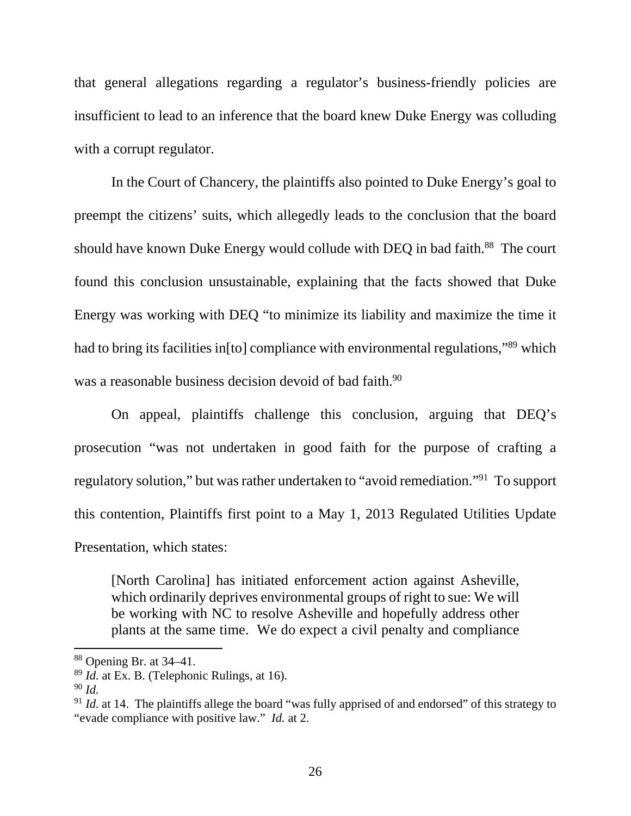that general allegations regarding a regulator's business-friendly policies are insufficient to lead to an inference that the board knew Duke Energy was colluding with a corrupt regulator.

 In the Court of Chancery, the plaintiffs also pointed to Duke Energy's goal to preempt the citizens' suits, which allegedly leads to the conclusion that the board should have known Duke Energy would collude with DEQ in bad faith.<sup>88</sup> The court found this conclusion unsustainable, explaining that the facts showed that Duke Energy was working with DEQ "to minimize its liability and maximize the time it had to bring its facilities in[to] compliance with environmental regulations,"89 which was a reasonable business decision devoid of bad faith.<sup>90</sup>

On appeal, plaintiffs challenge this conclusion, arguing that DEQ's prosecution "was not undertaken in good faith for the purpose of crafting a regulatory solution," but was rather undertaken to "avoid remediation."91 To support this contention, Plaintiffs first point to a May 1, 2013 Regulated Utilities Update Presentation, which states:

[North Carolina] has initiated enforcement action against Asheville, which ordinarily deprives environmental groups of right to sue: We will be working with NC to resolve Asheville and hopefully address other plants at the same time. We do expect a civil penalty and compliance

 $88$  Opening Br. at 34–41.

<sup>89</sup> *Id.* at Ex. B. (Telephonic Rulings, at 16).

<sup>90</sup> *Id.*

<sup>&</sup>lt;sup>91</sup> *Id.* at 14. The plaintiffs allege the board "was fully apprised of and endorsed" of this strategy to "evade compliance with positive law." *Id.* at 2.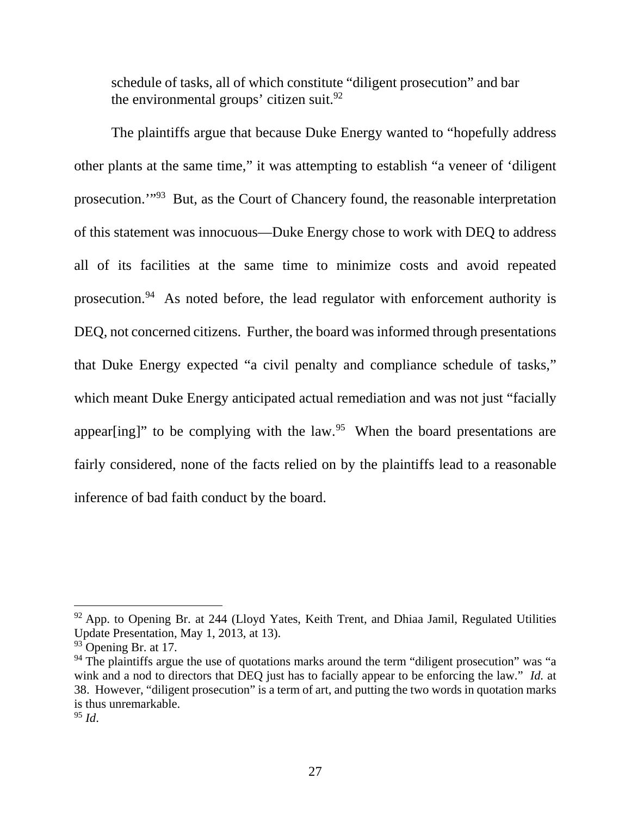schedule of tasks, all of which constitute "diligent prosecution" and bar the environmental groups' citizen suit. $92$ 

The plaintiffs argue that because Duke Energy wanted to "hopefully address other plants at the same time," it was attempting to establish "a veneer of 'diligent prosecution.'"93 But, as the Court of Chancery found, the reasonable interpretation of this statement was innocuous—Duke Energy chose to work with DEQ to address all of its facilities at the same time to minimize costs and avoid repeated prosecution.94 As noted before, the lead regulator with enforcement authority is DEQ, not concerned citizens. Further, the board was informed through presentations that Duke Energy expected "a civil penalty and compliance schedule of tasks," which meant Duke Energy anticipated actual remediation and was not just "facially appear [ing]" to be complying with the law.<sup>95</sup> When the board presentations are fairly considered, none of the facts relied on by the plaintiffs lead to a reasonable inference of bad faith conduct by the board.

 $92$  App. to Opening Br. at 244 (Lloyd Yates, Keith Trent, and Dhiaa Jamil, Regulated Utilities Update Presentation, May 1, 2013, at 13).

<sup>&</sup>lt;sup>93</sup> Opening Br. at 17.

 $94$  The plaintiffs argue the use of quotations marks around the term "diligent prosecution" was "a wink and a nod to directors that DEQ just has to facially appear to be enforcing the law." *Id.* at 38. However, "diligent prosecution" is a term of art, and putting the two words in quotation marks is thus unremarkable.

<sup>95</sup> *Id*.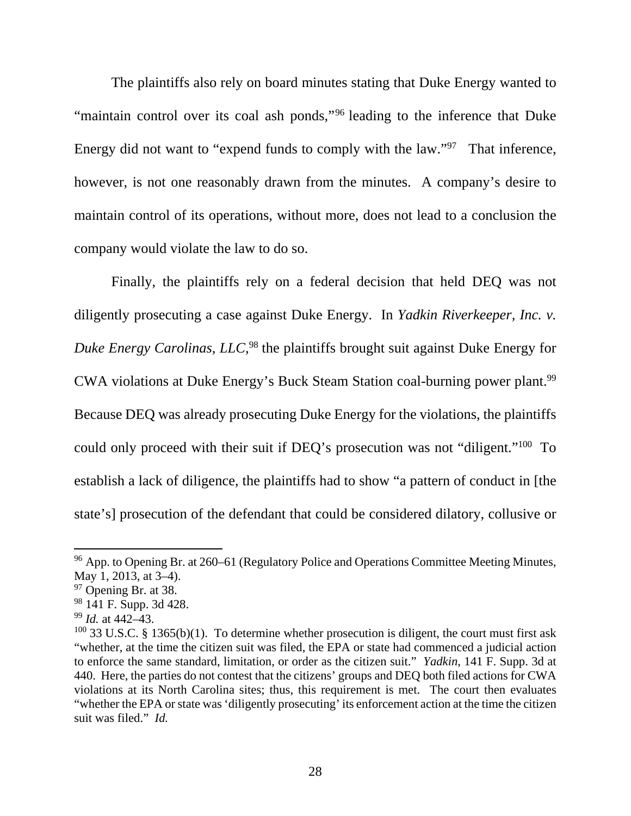The plaintiffs also rely on board minutes stating that Duke Energy wanted to "maintain control over its coal ash ponds,"96 leading to the inference that Duke Energy did not want to "expend funds to comply with the law."<sup>97</sup> That inference, however, is not one reasonably drawn from the minutes. A company's desire to maintain control of its operations, without more, does not lead to a conclusion the company would violate the law to do so.

Finally, the plaintiffs rely on a federal decision that held DEQ was not diligently prosecuting a case against Duke Energy. In *Yadkin Riverkeeper, Inc. v. Duke Energy Carolinas, LLC*, 98 the plaintiffs brought suit against Duke Energy for CWA violations at Duke Energy's Buck Steam Station coal-burning power plant.99 Because DEQ was already prosecuting Duke Energy for the violations, the plaintiffs could only proceed with their suit if DEQ's prosecution was not "diligent."100 To establish a lack of diligence, the plaintiffs had to show "a pattern of conduct in [the state's] prosecution of the defendant that could be considered dilatory, collusive or

 $96$  App. to Opening Br. at 260–61 (Regulatory Police and Operations Committee Meeting Minutes, May 1, 2013, at 3–4).

 $97$  Opening Br. at 38.

<sup>98 141</sup> F. Supp. 3d 428.

<sup>99</sup> *Id.* at 442–43.

 $100$  33 U.S.C. § 1365(b)(1). To determine whether prosecution is diligent, the court must first ask "whether, at the time the citizen suit was filed, the EPA or state had commenced a judicial action to enforce the same standard, limitation, or order as the citizen suit." *Yadkin*, 141 F. Supp. 3d at 440. Here, the parties do not contest that the citizens' groups and DEQ both filed actions for CWA violations at its North Carolina sites; thus, this requirement is met. The court then evaluates "whether the EPA or state was 'diligently prosecuting' its enforcement action at the time the citizen suit was filed." *Id.*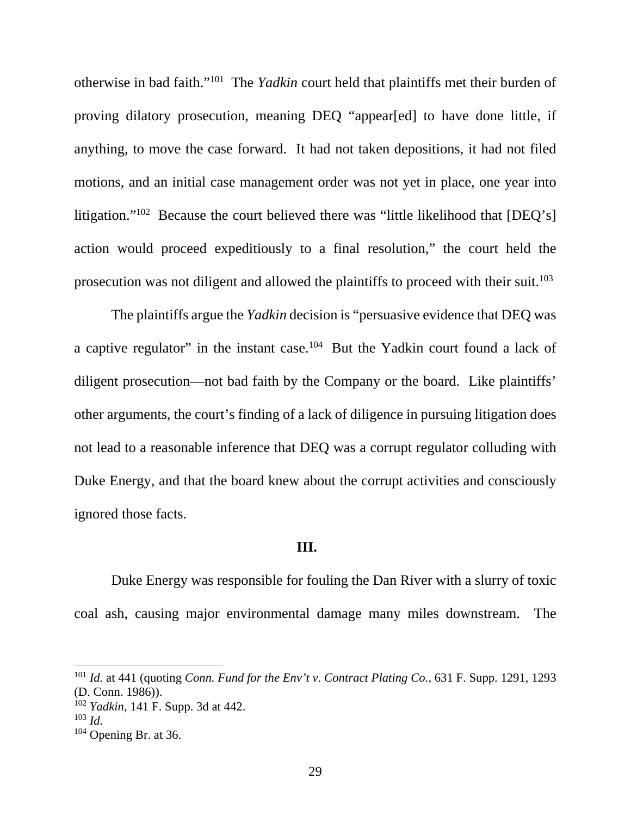otherwise in bad faith."101 The *Yadkin* court held that plaintiffs met their burden of proving dilatory prosecution, meaning DEQ "appear[ed] to have done little, if anything, to move the case forward. It had not taken depositions, it had not filed motions, and an initial case management order was not yet in place, one year into litigation."102 Because the court believed there was "little likelihood that [DEQ's] action would proceed expeditiously to a final resolution," the court held the prosecution was not diligent and allowed the plaintiffs to proceed with their suit.<sup>103</sup>

The plaintiffs argue the *Yadkin* decision is "persuasive evidence that DEQ was a captive regulator" in the instant case.104 But the Yadkin court found a lack of diligent prosecution—not bad faith by the Company or the board. Like plaintiffs' other arguments, the court's finding of a lack of diligence in pursuing litigation does not lead to a reasonable inference that DEQ was a corrupt regulator colluding with Duke Energy, and that the board knew about the corrupt activities and consciously ignored those facts.

#### **III.**

Duke Energy was responsible for fouling the Dan River with a slurry of toxic coal ash, causing major environmental damage many miles downstream. The

<sup>101</sup> *Id.* at 441 (quoting *Conn. Fund for the Env't v. Contract Plating Co.*, 631 F. Supp. 1291, 1293 (D. Conn. 1986)).

<sup>102</sup> *Yadkin*, 141 F. Supp. 3d at 442.

 $103$  *Id.* 

 $104$  Opening Br. at 36.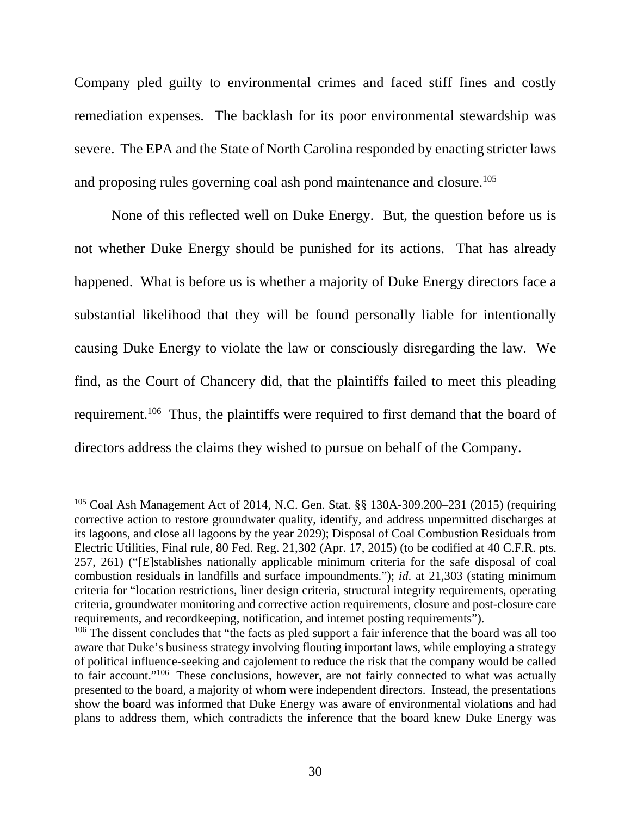Company pled guilty to environmental crimes and faced stiff fines and costly remediation expenses. The backlash for its poor environmental stewardship was severe. The EPA and the State of North Carolina responded by enacting stricter laws and proposing rules governing coal ash pond maintenance and closure.<sup>105</sup>

None of this reflected well on Duke Energy. But, the question before us is not whether Duke Energy should be punished for its actions. That has already happened. What is before us is whether a majority of Duke Energy directors face a substantial likelihood that they will be found personally liable for intentionally causing Duke Energy to violate the law or consciously disregarding the law. We find, as the Court of Chancery did, that the plaintiffs failed to meet this pleading requirement.106 Thus, the plaintiffs were required to first demand that the board of directors address the claims they wished to pursue on behalf of the Company.

<sup>105</sup> Coal Ash Management Act of 2014, N.C. Gen. Stat. §§ 130A-309.200–231 (2015) (requiring corrective action to restore groundwater quality, identify, and address unpermitted discharges at its lagoons, and close all lagoons by the year 2029); Disposal of Coal Combustion Residuals from Electric Utilities, Final rule, 80 Fed. Reg. 21,302 (Apr. 17, 2015) (to be codified at 40 C.F.R. pts. 257, 261) ("[E]stablishes nationally applicable minimum criteria for the safe disposal of coal combustion residuals in landfills and surface impoundments."); *id*. at 21,303 (stating minimum criteria for "location restrictions, liner design criteria, structural integrity requirements, operating criteria, groundwater monitoring and corrective action requirements, closure and post-closure care requirements, and recordkeeping, notification, and internet posting requirements").

 $106$  The dissent concludes that "the facts as pled support a fair inference that the board was all too aware that Duke's business strategy involving flouting important laws, while employing a strategy of political influence-seeking and cajolement to reduce the risk that the company would be called to fair account."<sup>106</sup> These conclusions, however, are not fairly connected to what was actually presented to the board, a majority of whom were independent directors. Instead, the presentations show the board was informed that Duke Energy was aware of environmental violations and had plans to address them, which contradicts the inference that the board knew Duke Energy was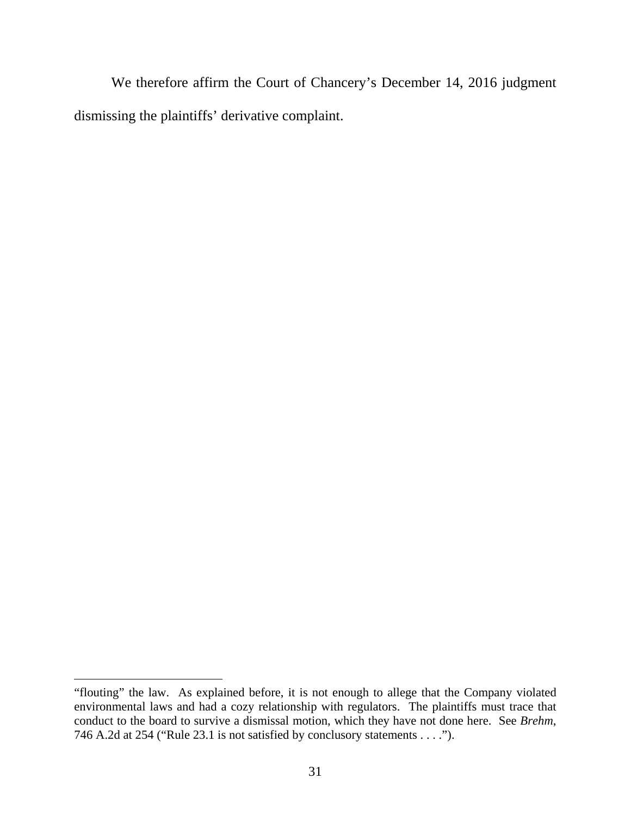We therefore affirm the Court of Chancery's December 14, 2016 judgment dismissing the plaintiffs' derivative complaint.

<sup>&</sup>quot;flouting" the law. As explained before, it is not enough to allege that the Company violated environmental laws and had a cozy relationship with regulators. The plaintiffs must trace that conduct to the board to survive a dismissal motion, which they have not done here. See *Brehm*, 746 A.2d at 254 ("Rule 23.1 is not satisfied by conclusory statements . . . .").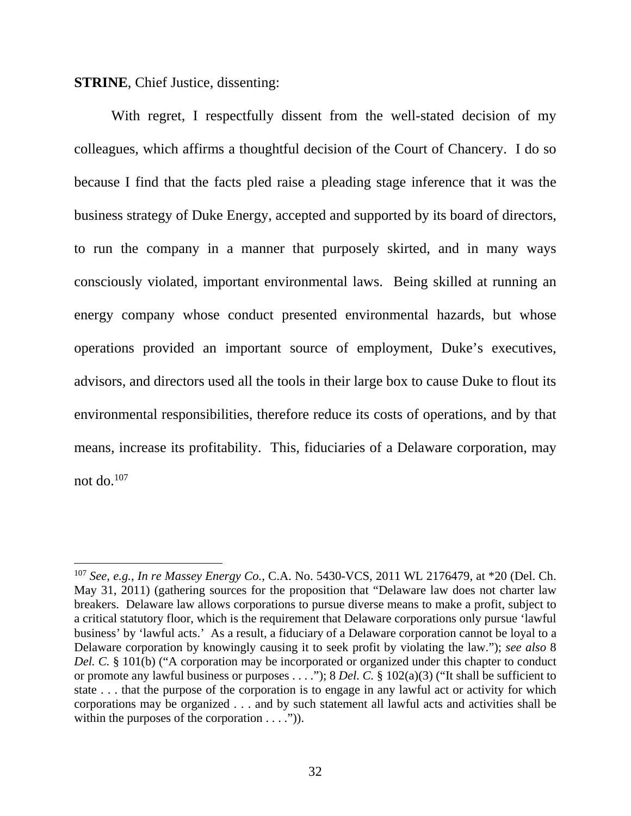**STRINE**, Chief Justice, dissenting:

 $\overline{a}$ 

With regret, I respectfully dissent from the well-stated decision of my colleagues, which affirms a thoughtful decision of the Court of Chancery. I do so because I find that the facts pled raise a pleading stage inference that it was the business strategy of Duke Energy, accepted and supported by its board of directors, to run the company in a manner that purposely skirted, and in many ways consciously violated, important environmental laws. Being skilled at running an energy company whose conduct presented environmental hazards, but whose operations provided an important source of employment, Duke's executives, advisors, and directors used all the tools in their large box to cause Duke to flout its environmental responsibilities, therefore reduce its costs of operations, and by that means, increase its profitability. This, fiduciaries of a Delaware corporation, may not do. $107$ 

<sup>107</sup> *See, e.g.*, *In re Massey Energy Co.*, C.A. No. 5430-VCS, 2011 WL 2176479, at \*20 (Del. Ch. May 31, 2011) (gathering sources for the proposition that "Delaware law does not charter law breakers. Delaware law allows corporations to pursue diverse means to make a profit, subject to a critical statutory floor, which is the requirement that Delaware corporations only pursue 'lawful business' by 'lawful acts.' As a result, a fiduciary of a Delaware corporation cannot be loyal to a Delaware corporation by knowingly causing it to seek profit by violating the law."); *see also* 8 *Del. C.* § 101(b) ("A corporation may be incorporated or organized under this chapter to conduct or promote any lawful business or purposes . . . ."); 8 *Del. C.* § 102(a)(3) ("It shall be sufficient to state . . . that the purpose of the corporation is to engage in any lawful act or activity for which corporations may be organized . . . and by such statement all lawful acts and activities shall be within the purposes of the corporation  $\dots$ .").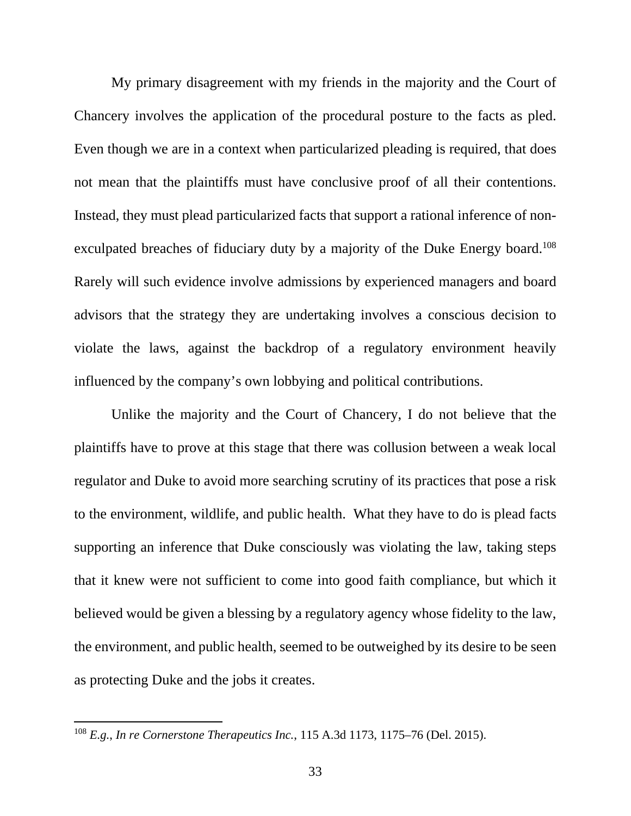My primary disagreement with my friends in the majority and the Court of Chancery involves the application of the procedural posture to the facts as pled. Even though we are in a context when particularized pleading is required, that does not mean that the plaintiffs must have conclusive proof of all their contentions. Instead, they must plead particularized facts that support a rational inference of nonexculpated breaches of fiduciary duty by a majority of the Duke Energy board.<sup>108</sup> Rarely will such evidence involve admissions by experienced managers and board advisors that the strategy they are undertaking involves a conscious decision to violate the laws, against the backdrop of a regulatory environment heavily influenced by the company's own lobbying and political contributions.

Unlike the majority and the Court of Chancery, I do not believe that the plaintiffs have to prove at this stage that there was collusion between a weak local regulator and Duke to avoid more searching scrutiny of its practices that pose a risk to the environment, wildlife, and public health. What they have to do is plead facts supporting an inference that Duke consciously was violating the law, taking steps that it knew were not sufficient to come into good faith compliance, but which it believed would be given a blessing by a regulatory agency whose fidelity to the law, the environment, and public health, seemed to be outweighed by its desire to be seen as protecting Duke and the jobs it creates.

<sup>108</sup> *E.g.*, *In re Cornerstone Therapeutics Inc.*, 115 A.3d 1173, 1175–76 (Del. 2015).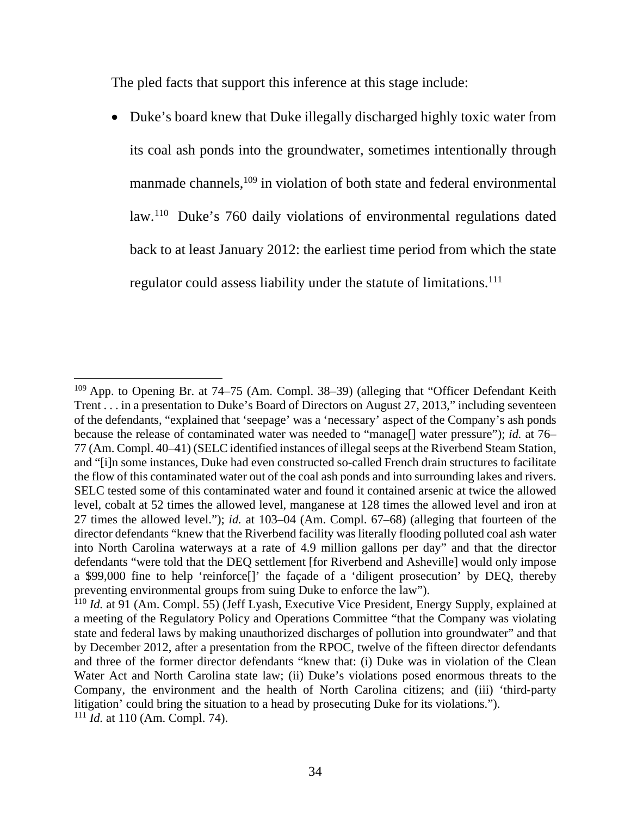The pled facts that support this inference at this stage include:

• Duke's board knew that Duke illegally discharged highly toxic water from its coal ash ponds into the groundwater, sometimes intentionally through manmade channels,<sup>109</sup> in violation of both state and federal environmental law.110 Duke's 760 daily violations of environmental regulations dated back to at least January 2012: the earliest time period from which the state regulator could assess liability under the statute of limitations.<sup>111</sup>

<sup>109</sup> App. to Opening Br. at 74–75 (Am. Compl. 38–39) (alleging that "Officer Defendant Keith Trent . . . in a presentation to Duke's Board of Directors on August 27, 2013," including seventeen of the defendants, "explained that 'seepage' was a 'necessary' aspect of the Company's ash ponds because the release of contaminated water was needed to "manage[] water pressure"); *id.* at 76– 77 (Am. Compl. 40–41) (SELC identified instances of illegal seeps at the Riverbend Steam Station, and "[i]n some instances, Duke had even constructed so-called French drain structures to facilitate the flow of this contaminated water out of the coal ash ponds and into surrounding lakes and rivers. SELC tested some of this contaminated water and found it contained arsenic at twice the allowed level, cobalt at 52 times the allowed level, manganese at 128 times the allowed level and iron at 27 times the allowed level."); *id.* at 103–04 (Am. Compl. 67–68) (alleging that fourteen of the director defendants "knew that the Riverbend facility was literally flooding polluted coal ash water into North Carolina waterways at a rate of 4.9 million gallons per day" and that the director defendants "were told that the DEQ settlement [for Riverbend and Asheville] would only impose a \$99,000 fine to help 'reinforce[]' the façade of a 'diligent prosecution' by DEQ, thereby preventing environmental groups from suing Duke to enforce the law").

<sup>110</sup> *Id.* at 91 (Am. Compl. 55) (Jeff Lyash, Executive Vice President, Energy Supply, explained at a meeting of the Regulatory Policy and Operations Committee "that the Company was violating state and federal laws by making unauthorized discharges of pollution into groundwater" and that by December 2012, after a presentation from the RPOC, twelve of the fifteen director defendants and three of the former director defendants "knew that: (i) Duke was in violation of the Clean Water Act and North Carolina state law; (ii) Duke's violations posed enormous threats to the Company, the environment and the health of North Carolina citizens; and (iii) 'third-party litigation' could bring the situation to a head by prosecuting Duke for its violations.").

<sup>111</sup> *Id.* at 110 (Am. Compl. 74).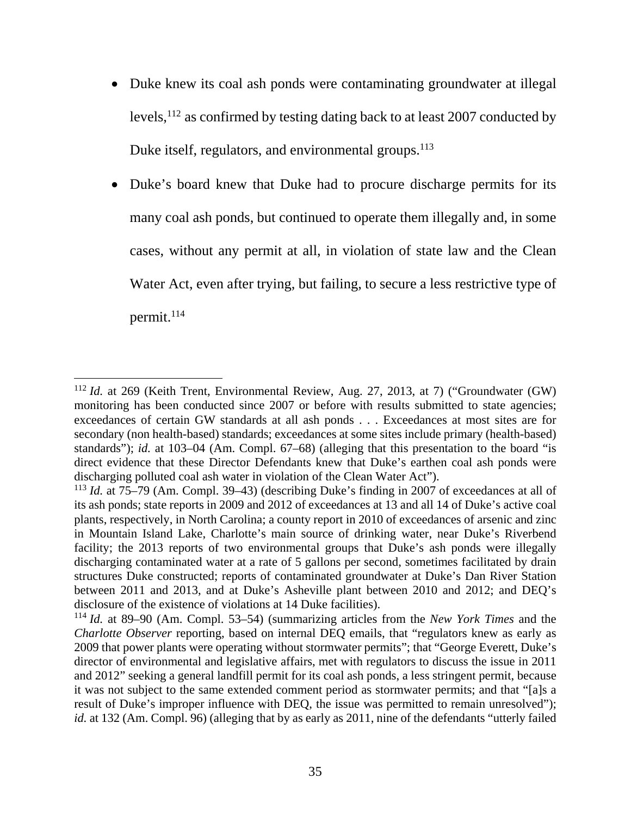• Duke knew its coal ash ponds were contaminating groundwater at illegal levels,112 as confirmed by testing dating back to at least 2007 conducted by Duke itself, regulators, and environmental groups.<sup>113</sup>

• Duke's board knew that Duke had to procure discharge permits for its many coal ash ponds, but continued to operate them illegally and, in some cases, without any permit at all, in violation of state law and the Clean Water Act, even after trying, but failing, to secure a less restrictive type of permit.<sup>114</sup>

<sup>112</sup> *Id.* at 269 (Keith Trent, Environmental Review, Aug. 27, 2013, at 7) ("Groundwater (GW) monitoring has been conducted since 2007 or before with results submitted to state agencies; exceedances of certain GW standards at all ash ponds . . . Exceedances at most sites are for secondary (non health-based) standards; exceedances at some sites include primary (health-based) standards"); *id.* at 103–04 (Am. Compl. 67–68) (alleging that this presentation to the board "is direct evidence that these Director Defendants knew that Duke's earthen coal ash ponds were discharging polluted coal ash water in violation of the Clean Water Act").

<sup>113</sup> *Id.* at 75–79 (Am. Compl. 39–43) (describing Duke's finding in 2007 of exceedances at all of its ash ponds; state reports in 2009 and 2012 of exceedances at 13 and all 14 of Duke's active coal plants, respectively, in North Carolina; a county report in 2010 of exceedances of arsenic and zinc in Mountain Island Lake, Charlotte's main source of drinking water, near Duke's Riverbend facility; the 2013 reports of two environmental groups that Duke's ash ponds were illegally discharging contaminated water at a rate of 5 gallons per second, sometimes facilitated by drain structures Duke constructed; reports of contaminated groundwater at Duke's Dan River Station between 2011 and 2013, and at Duke's Asheville plant between 2010 and 2012; and DEQ's disclosure of the existence of violations at 14 Duke facilities).

<sup>114</sup> *Id.* at 89–90 (Am. Compl. 53–54) (summarizing articles from the *New York Times* and the *Charlotte Observer* reporting, based on internal DEQ emails, that "regulators knew as early as 2009 that power plants were operating without stormwater permits"; that "George Everett, Duke's director of environmental and legislative affairs, met with regulators to discuss the issue in 2011 and 2012" seeking a general landfill permit for its coal ash ponds, a less stringent permit, because it was not subject to the same extended comment period as stormwater permits; and that "[a]s a result of Duke's improper influence with DEQ, the issue was permitted to remain unresolved"); *id.* at 132 (Am. Compl. 96) (alleging that by as early as 2011, nine of the defendants "utterly failed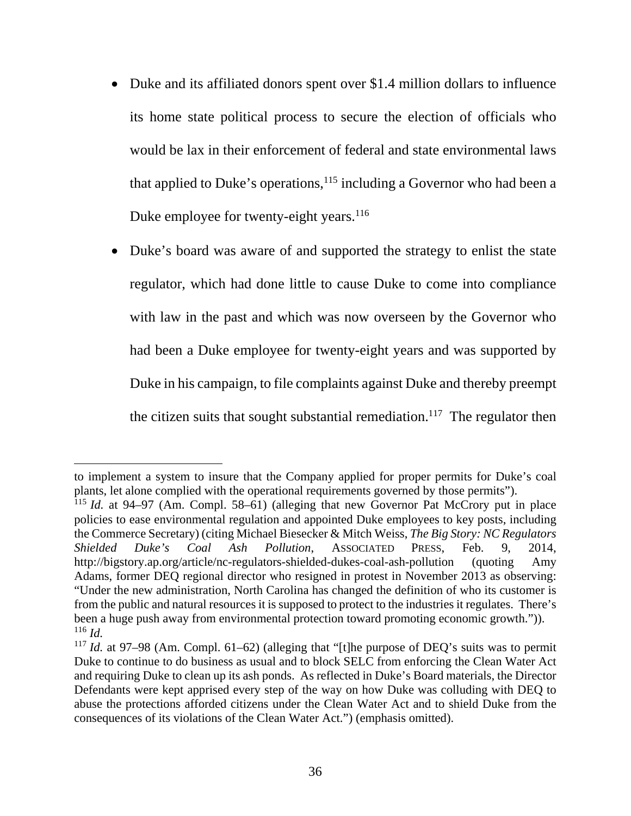- Duke and its affiliated donors spent over \$1.4 million dollars to influence its home state political process to secure the election of officials who would be lax in their enforcement of federal and state environmental laws that applied to Duke's operations, $115$  including a Governor who had been a Duke employee for twenty-eight years.<sup>116</sup>
- Duke's board was aware of and supported the strategy to enlist the state regulator, which had done little to cause Duke to come into compliance with law in the past and which was now overseen by the Governor who had been a Duke employee for twenty-eight years and was supported by Duke in his campaign, to file complaints against Duke and thereby preempt the citizen suits that sought substantial remediation.<sup>117</sup> The regulator then

to implement a system to insure that the Company applied for proper permits for Duke's coal plants, let alone complied with the operational requirements governed by those permits").

<sup>115</sup> *Id.* at 94–97 (Am. Compl. 58–61) (alleging that new Governor Pat McCrory put in place policies to ease environmental regulation and appointed Duke employees to key posts, including the Commerce Secretary) (citing Michael Biesecker & Mitch Weiss, *The Big Story: NC Regulators Shielded Duke's Coal Ash Pollution*, ASSOCIATED PRESS, Feb. 9, 2014, http://bigstory.ap.org/article/nc-regulators-shielded-dukes-coal-ash-pollution (quoting Amy Adams, former DEQ regional director who resigned in protest in November 2013 as observing: "Under the new administration, North Carolina has changed the definition of who its customer is from the public and natural resources it is supposed to protect to the industries it regulates. There's been a huge push away from environmental protection toward promoting economic growth.")). <sup>116</sup> *Id.*

<sup>117</sup> *Id.* at 97–98 (Am. Compl. 61–62) (alleging that "[t]he purpose of DEQ's suits was to permit Duke to continue to do business as usual and to block SELC from enforcing the Clean Water Act and requiring Duke to clean up its ash ponds. As reflected in Duke's Board materials, the Director Defendants were kept apprised every step of the way on how Duke was colluding with DEQ to abuse the protections afforded citizens under the Clean Water Act and to shield Duke from the consequences of its violations of the Clean Water Act.") (emphasis omitted).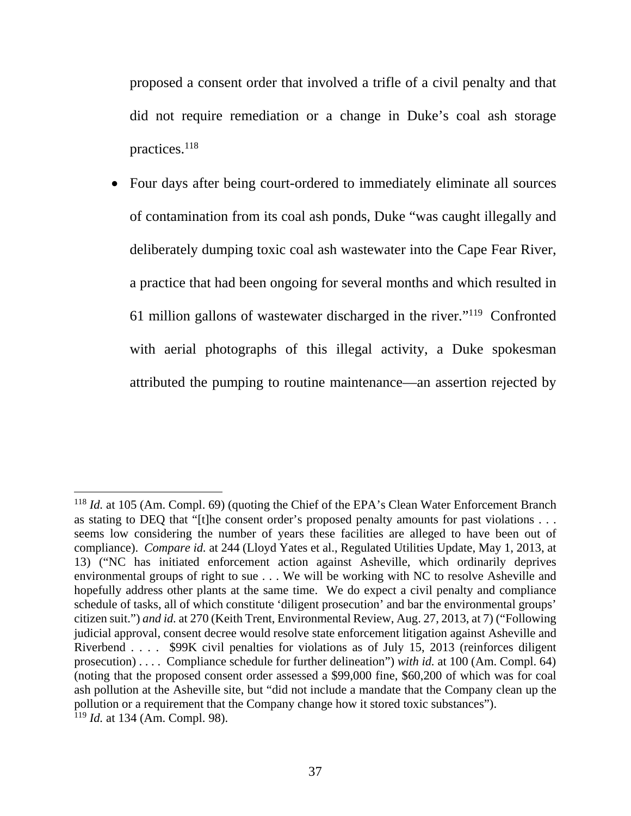proposed a consent order that involved a trifle of a civil penalty and that did not require remediation or a change in Duke's coal ash storage practices.118

 Four days after being court-ordered to immediately eliminate all sources of contamination from its coal ash ponds, Duke "was caught illegally and deliberately dumping toxic coal ash wastewater into the Cape Fear River, a practice that had been ongoing for several months and which resulted in 61 million gallons of wastewater discharged in the river."119 Confronted with aerial photographs of this illegal activity, a Duke spokesman attributed the pumping to routine maintenance—an assertion rejected by

<sup>118</sup> *Id.* at 105 (Am. Compl. 69) (quoting the Chief of the EPA's Clean Water Enforcement Branch as stating to DEQ that "[t]he consent order's proposed penalty amounts for past violations . . . seems low considering the number of years these facilities are alleged to have been out of compliance). *Compare id.* at 244 (Lloyd Yates et al., Regulated Utilities Update, May 1, 2013, at 13) ("NC has initiated enforcement action against Asheville, which ordinarily deprives environmental groups of right to sue . . . We will be working with NC to resolve Asheville and hopefully address other plants at the same time. We do expect a civil penalty and compliance schedule of tasks, all of which constitute 'diligent prosecution' and bar the environmental groups' citizen suit.") *and id.* at 270 (Keith Trent, Environmental Review, Aug. 27, 2013, at 7) ("Following judicial approval, consent decree would resolve state enforcement litigation against Asheville and Riverbend . . . . \$99K civil penalties for violations as of July 15, 2013 (reinforces diligent prosecution) . . . . Compliance schedule for further delineation") *with id.* at 100 (Am. Compl. 64) (noting that the proposed consent order assessed a \$99,000 fine, \$60,200 of which was for coal ash pollution at the Asheville site, but "did not include a mandate that the Company clean up the pollution or a requirement that the Company change how it stored toxic substances"). <sup>119</sup> *Id.* at 134 (Am. Compl. 98).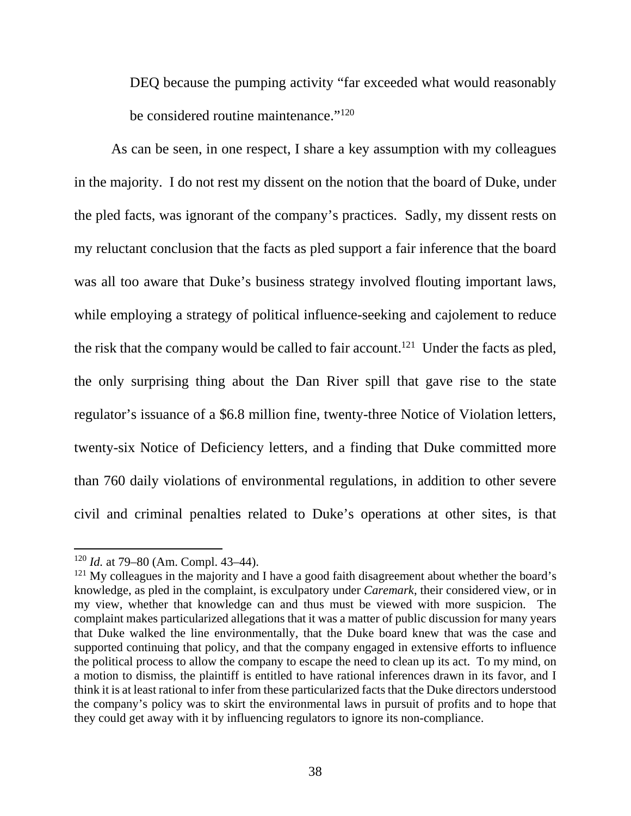DEQ because the pumping activity "far exceeded what would reasonably be considered routine maintenance."<sup>120</sup>

As can be seen, in one respect, I share a key assumption with my colleagues in the majority. I do not rest my dissent on the notion that the board of Duke, under the pled facts, was ignorant of the company's practices. Sadly, my dissent rests on my reluctant conclusion that the facts as pled support a fair inference that the board was all too aware that Duke's business strategy involved flouting important laws, while employing a strategy of political influence-seeking and cajolement to reduce the risk that the company would be called to fair account.<sup>121</sup> Under the facts as pled, the only surprising thing about the Dan River spill that gave rise to the state regulator's issuance of a \$6.8 million fine, twenty-three Notice of Violation letters, twenty-six Notice of Deficiency letters, and a finding that Duke committed more than 760 daily violations of environmental regulations, in addition to other severe civil and criminal penalties related to Duke's operations at other sites, is that

<sup>120</sup> *Id.* at 79–80 (Am. Compl. 43–44).

 $121$  My colleagues in the majority and I have a good faith disagreement about whether the board's knowledge, as pled in the complaint, is exculpatory under *Caremark*, their considered view, or in my view, whether that knowledge can and thus must be viewed with more suspicion. The complaint makes particularized allegations that it was a matter of public discussion for many years that Duke walked the line environmentally, that the Duke board knew that was the case and supported continuing that policy, and that the company engaged in extensive efforts to influence the political process to allow the company to escape the need to clean up its act. To my mind, on a motion to dismiss, the plaintiff is entitled to have rational inferences drawn in its favor, and I think it is at least rational to infer from these particularized facts that the Duke directors understood the company's policy was to skirt the environmental laws in pursuit of profits and to hope that they could get away with it by influencing regulators to ignore its non-compliance.